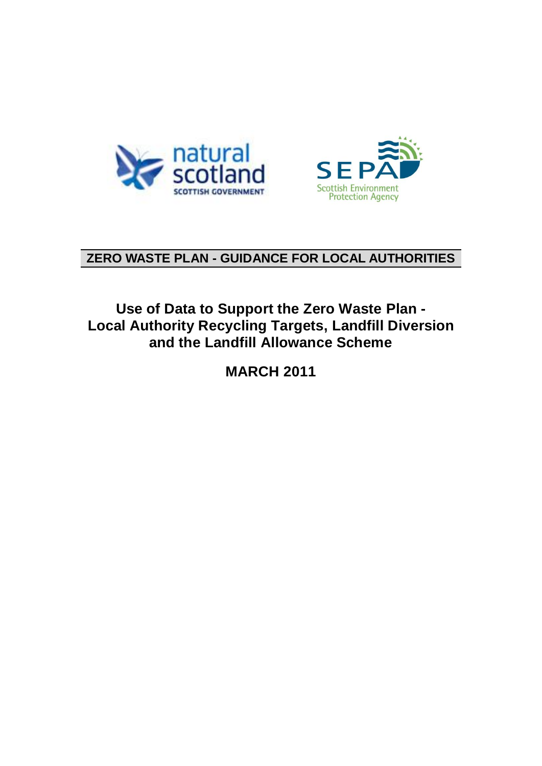



### **ZERO WASTE PLAN - GUIDANCE FOR LOCAL AUTHORITIES**

### **Use of Data to Support the Zero Waste Plan - Local Authority Recycling Targets, Landfill Diversion and the Landfill Allowance Scheme**

**MARCH 2011**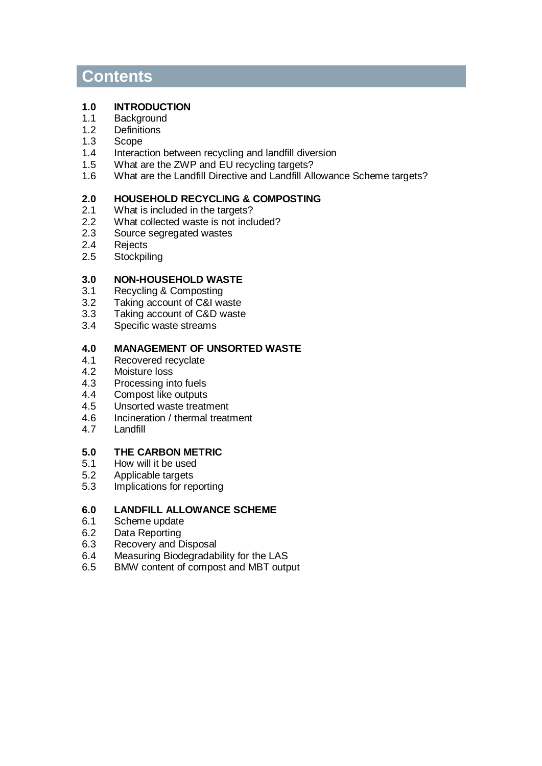### **Contents**

#### **1.0 INTRODUCTION**

- 1.1 Background
- 1.2 Definitions
- 1.3 Scope<br>1.4 Interac
- 1.4 Interaction between recycling and landfill diversion<br>1.5 What are the ZWP and EU recycling targets?
- 1.5 What are the ZWP and EU recycling targets?<br>1.6 What are the Landfill Directive and Landfill All
- What are the Landfill Directive and Landfill Allowance Scheme targets?

#### **2.0 HOUSEHOLD RECYCLING & COMPOSTING**

- 2.1 What is included in the targets?<br>2.2 What collected waste is not inclu
- 2.2 What collected waste is not included?<br>2.3 Source segregated wastes
- 2.3 Source segregated wastes<br>2.4 Rejects
- 2.4 Rejects<br>2.5 Stockpil
- **Stockpiling**

#### **3.0 NON-HOUSEHOLD WASTE**

- 3.1 Recycling & Composting
- 3.2 Taking account of C&I waste<br>3.3 Taking account of C&D waste
- 3.3 Taking account of C&D waste<br>3.4 Specific waste streams
- Specific waste streams

#### **4.0 MANAGEMENT OF UNSORTED WASTE**

- 4.1 Recovered recyclate
- 4.2 Moisture loss<br>4.3 Processing in
- 4.3 Processing into fuels<br>4.4 Compost like outputs
- Compost like outputs
- 4.5 Unsorted waste treatment
- 4.6 Incineration / thermal treatment
- 4.7 Landfill

# **5.0 THE CARBON METRIC**

- 5.1 How will it be used
- 5.2 Applicable targets<br>5.3 Implications for rep
- Implications for reporting

#### **6.0 LANDFILL ALLOWANCE SCHEME**

- 6.1 Scheme update<br>6.2 Data Reporting
- Data Reporting
- 6.3 Recovery and Disposal<br>6.4 Measuring Biodegradak
- Measuring Biodegradability for the LAS
- 6.5 BMW content of compost and MBT output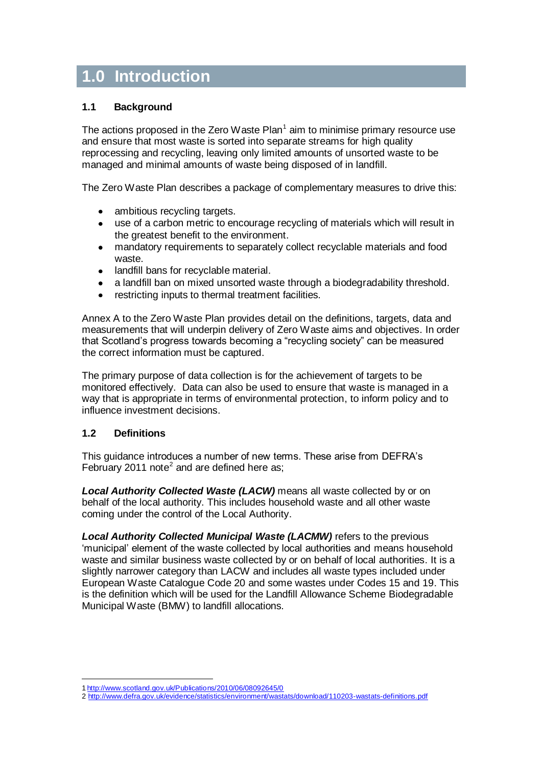### **1.0 Introduction**

#### **1.1 Background**

The actions proposed in the Zero Waste Plan $^1$  aim to minimise primary resource use and ensure that most waste is sorted into separate streams for high quality reprocessing and recycling, leaving only limited amounts of unsorted waste to be managed and minimal amounts of waste being disposed of in landfill.

The Zero Waste Plan describes a package of complementary measures to drive this:

- ambitious recycling targets.  $\bullet$
- use of a carbon metric to encourage recycling of materials which will result in the greatest benefit to the environment.
- mandatory requirements to separately collect recyclable materials and food  $\bullet$ waste.
- $\bullet$ landfill bans for recyclable material.
- a landfill ban on mixed unsorted waste through a biodegradability threshold.
- restricting inputs to thermal treatment facilities.

Annex A to the Zero Waste Plan provides detail on the definitions, targets, data and measurements that will underpin delivery of Zero Waste aims and objectives. In order that Scotland"s progress towards becoming a "recycling society" can be measured the correct information must be captured.

The primary purpose of data collection is for the achievement of targets to be monitored effectively. Data can also be used to ensure that waste is managed in a way that is appropriate in terms of environmental protection, to inform policy and to influence investment decisions.

#### **1.2 Definitions**

1

This guidance introduces a number of new terms. These arise from DEFRA"s February 2011 note<sup>2</sup> and are defined here as;

**Local Authority Collected Waste (LACW)** means all waste collected by or on behalf of the local authority. This includes household waste and all other waste coming under the control of the Local Authority.

**Local Authority Collected Municipal Waste (LACMW)** refers to the previous "municipal" element of the waste collected by local authorities and means household waste and similar business waste collected by or on behalf of local authorities. It is a slightly narrower category than LACW and includes all waste types included under European Waste Catalogue Code 20 and some wastes under Codes 15 and 19. This is the definition which will be used for the Landfill Allowance Scheme Biodegradable Municipal Waste (BMW) to landfill allocations.

<sup>1</sup> <http://www.scotland.gov.uk/Publications/2010/06/08092645/0>

<sup>2</sup> <http://www.defra.gov.uk/evidence/statistics/environment/wastats/download/110203-wastats-definitions.pdf>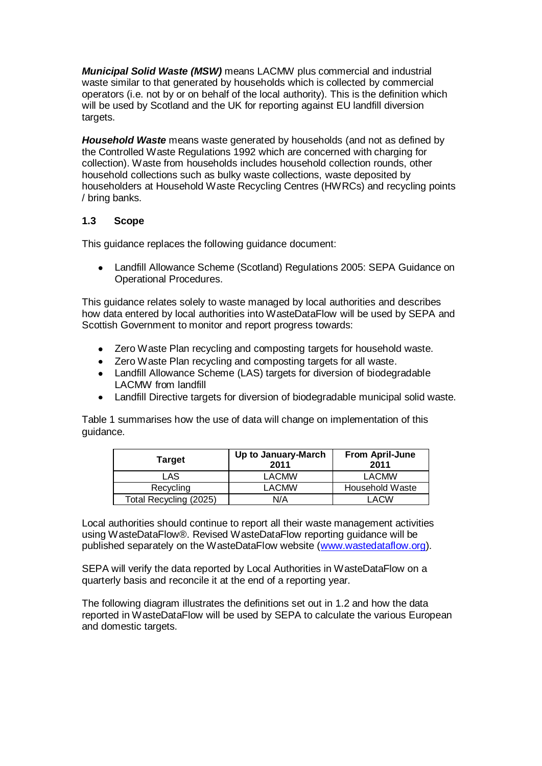**Municipal Solid Waste (MSW)** means LACMW plus commercial and industrial waste similar to that generated by households which is collected by commercial operators (i.e. not by or on behalf of the local authority). This is the definition which will be used by Scotland and the UK for reporting against EU landfill diversion targets.

**Household Waste** means waste generated by households (and not as defined by the Controlled Waste Regulations 1992 which are concerned with charging for collection). Waste from households includes household collection rounds, other household collections such as bulky waste collections, waste deposited by householders at Household Waste Recycling Centres (HWRCs) and recycling points / bring banks.

#### **1.3 Scope**

This guidance replaces the following guidance document:

Landfill Allowance Scheme (Scotland) Regulations 2005: SEPA Guidance on Operational Procedures.

This guidance relates solely to waste managed by local authorities and describes how data entered by local authorities into WasteDataFlow will be used by SEPA and Scottish Government to monitor and report progress towards:

- Zero Waste Plan recycling and composting targets for household waste.  $\bullet$
- Zero Waste Plan recycling and composting targets for all waste.
- Landfill Allowance Scheme (LAS) targets for diversion of biodegradable LACMW from landfill
- Landfill Directive targets for diversion of biodegradable municipal solid waste.

Table 1 summarises how the use of data will change on implementation of this guidance.

| <b>Target</b>          | Up to January-March<br>2011 | <b>From April-June</b><br>2011 |
|------------------------|-----------------------------|--------------------------------|
| LAS                    | <b>LACMW</b>                | <b>LACMW</b>                   |
| Recycling              | LACMW                       | Household Waste                |
| Total Recycling (2025) | N/A                         | LACW                           |

Local authorities should continue to report all their waste management activities using WasteDataFlow®. Revised WasteDataFlow reporting guidance will be published separately on the WasteDataFlow website [\(www.wastedataflow.org\)](http://www.wastedataflow.org/).

SEPA will verify the data reported by Local Authorities in WasteDataFlow on a quarterly basis and reconcile it at the end of a reporting year.

The following diagram illustrates the definitions set out in 1.2 and how the data reported in WasteDataFlow will be used by SEPA to calculate the various European and domestic targets.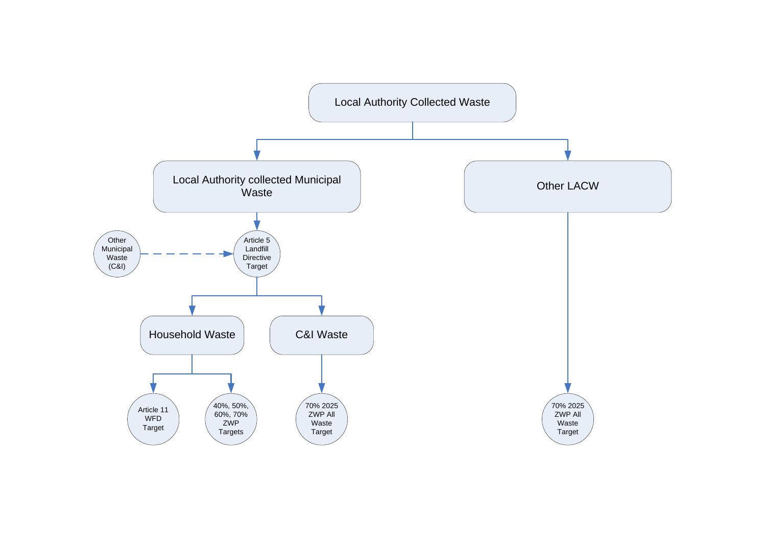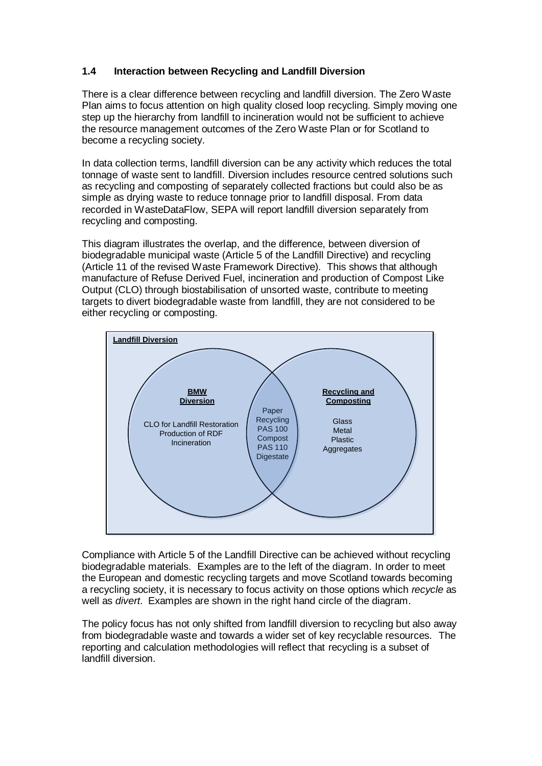#### **1.4 Interaction between Recycling and Landfill Diversion**

There is a clear difference between recycling and landfill diversion. The Zero Waste Plan aims to focus attention on high quality closed loop recycling. Simply moving one step up the hierarchy from landfill to incineration would not be sufficient to achieve the resource management outcomes of the Zero Waste Plan or for Scotland to become a recycling society.

In data collection terms, landfill diversion can be any activity which reduces the total tonnage of waste sent to landfill. Diversion includes resource centred solutions such as recycling and composting of separately collected fractions but could also be as simple as drying waste to reduce tonnage prior to landfill disposal. From data recorded in WasteDataFlow, SEPA will report landfill diversion separately from recycling and composting.

This diagram illustrates the overlap, and the difference, between diversion of biodegradable municipal waste (Article 5 of the Landfill Directive) and recycling (Article 11 of the revised Waste Framework Directive). This shows that although manufacture of Refuse Derived Fuel, incineration and production of Compost Like Output (CLO) through biostabilisation of unsorted waste, contribute to meeting targets to divert biodegradable waste from landfill, they are not considered to be either recycling or composting.



Compliance with Article 5 of the Landfill Directive can be achieved without recycling biodegradable materials. Examples are to the left of the diagram. In order to meet the European and domestic recycling targets and move Scotland towards becoming a recycling society, it is necessary to focus activity on those options which recycle as well as *divert*. Examples are shown in the right hand circle of the diagram.

The policy focus has not only shifted from landfill diversion to recycling but also away from biodegradable waste and towards a wider set of key recyclable resources. The reporting and calculation methodologies will reflect that recycling is a subset of landfill diversion.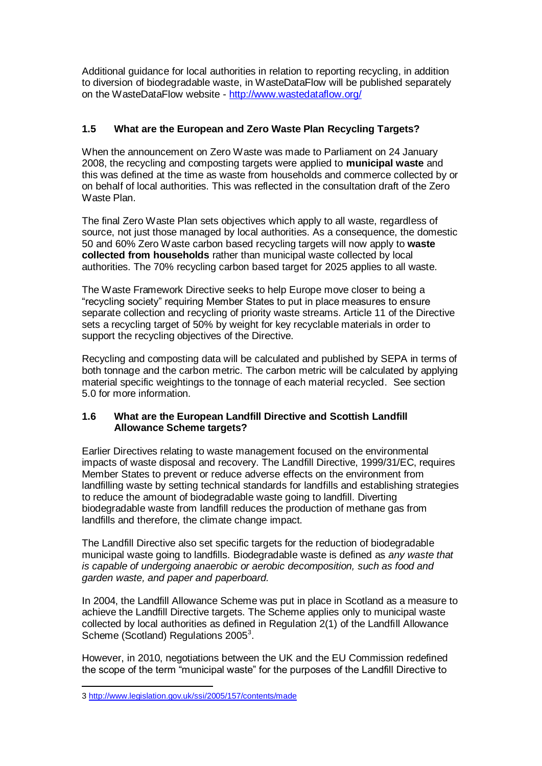Additional guidance for local authorities in relation to reporting recycling, in addition to diversion of biodegradable waste, in WasteDataFlow will be published separately on the WasteDataFlow website - <http://www.wastedataflow.org/>

#### **1.5 What are the European and Zero Waste Plan Recycling Targets?**

When the announcement on Zero Waste was made to Parliament on 24 January 2008, the recycling and composting targets were applied to **municipal waste** and this was defined at the time as waste from households and commerce collected by or on behalf of local authorities. This was reflected in the consultation draft of the Zero Waste Plan.

The final Zero Waste Plan sets objectives which apply to all waste, regardless of source, not just those managed by local authorities. As a consequence, the domestic 50 and 60% Zero Waste carbon based recycling targets will now apply to **waste collected from households** rather than municipal waste collected by local authorities. The 70% recycling carbon based target for 2025 applies to all waste.

The Waste Framework Directive seeks to help Europe move closer to being a "recycling society" requiring Member States to put in place measures to ensure separate collection and recycling of priority waste streams. Article 11 of the Directive sets a recycling target of 50% by weight for key recyclable materials in order to support the recycling objectives of the Directive.

Recycling and composting data will be calculated and published by SEPA in terms of both tonnage and the carbon metric. The carbon metric will be calculated by applying material specific weightings to the tonnage of each material recycled. See section 5.0 for more information.

#### **1.6 What are the European Landfill Directive and Scottish Landfill Allowance Scheme targets?**

Earlier Directives relating to waste management focused on the environmental impacts of waste disposal and recovery. The Landfill Directive, 1999/31/EC, requires Member States to prevent or reduce adverse effects on the environment from landfilling waste by setting technical standards for landfills and establishing strategies to reduce the amount of biodegradable waste going to landfill. Diverting biodegradable waste from landfill reduces the production of methane gas from landfills and therefore, the climate change impact.

The Landfill Directive also set specific targets for the reduction of biodegradable municipal waste going to landfills. Biodegradable waste is defined as any waste that is capable of undergoing anaerobic or aerobic decomposition, such as food and garden waste, and paper and paperboard.

In 2004, the Landfill Allowance Scheme was put in place in Scotland as a measure to achieve the Landfill Directive targets. The Scheme applies only to municipal waste collected by local authorities as defined in Regulation 2(1) of the Landfill Allowance Scheme (Scotland) Regulations 2005<sup>3</sup>.

However, in 2010, negotiations between the UK and the EU Commission redefined the scope of the term "municipal waste" for the purposes of the Landfill Directive to

1

<sup>3</sup> <http://www.legislation.gov.uk/ssi/2005/157/contents/made>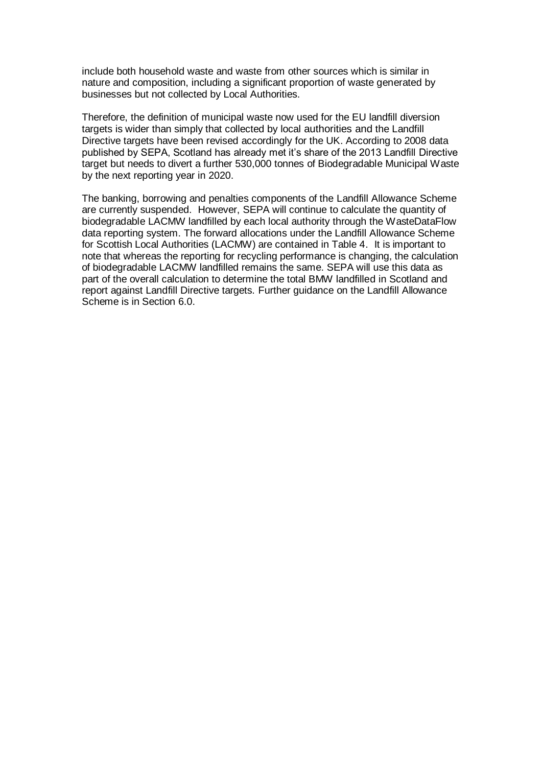include both household waste and waste from other sources which is similar in nature and composition, including a significant proportion of waste generated by businesses but not collected by Local Authorities.

Therefore, the definition of municipal waste now used for the EU landfill diversion targets is wider than simply that collected by local authorities and the Landfill Directive targets have been revised accordingly for the UK. According to 2008 data published by SEPA, Scotland has already met it's share of the 2013 Landfill Directive target but needs to divert a further 530,000 tonnes of Biodegradable Municipal Waste by the next reporting year in 2020.

The banking, borrowing and penalties components of the Landfill Allowance Scheme are currently suspended. However, SEPA will continue to calculate the quantity of biodegradable LACMW landfilled by each local authority through the WasteDataFlow data reporting system. The forward allocations under the Landfill Allowance Scheme for Scottish Local Authorities (LACMW) are contained in Table 4. It is important to note that whereas the reporting for recycling performance is changing, the calculation of biodegradable LACMW landfilled remains the same. SEPA will use this data as part of the overall calculation to determine the total BMW landfilled in Scotland and report against Landfill Directive targets. Further guidance on the Landfill Allowance Scheme is in Section 6.0.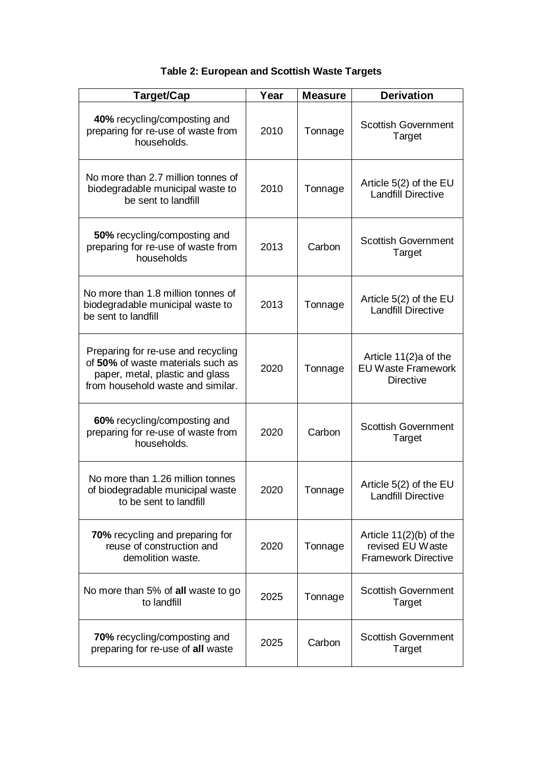### **Table 2: European and Scottish Waste Targets**

| Target/Cap                                                                                                                                      | Year | <b>Measure</b> | <b>Derivation</b>                                                           |
|-------------------------------------------------------------------------------------------------------------------------------------------------|------|----------------|-----------------------------------------------------------------------------|
| 40% recycling/composting and<br>preparing for re-use of waste from<br>households.                                                               | 2010 | Tonnage        | <b>Scottish Government</b><br>Target                                        |
| No more than 2.7 million tonnes of<br>biodegradable municipal waste to<br>be sent to landfill                                                   | 2010 | Tonnage        | Article 5(2) of the EU<br><b>Landfill Directive</b>                         |
| 50% recycling/composting and<br>preparing for re-use of waste from<br>households                                                                | 2013 | Carbon         | <b>Scottish Government</b><br>Target                                        |
| No more than 1.8 million tonnes of<br>biodegradable municipal waste to<br>be sent to landfill                                                   | 2013 | Tonnage        | Article 5(2) of the EU<br>Landfill Directive                                |
| Preparing for re-use and recycling<br>of 50% of waste materials such as<br>paper, metal, plastic and glass<br>from household waste and similar. | 2020 | Tonnage        | Article 11(2)a of the<br><b>EU Waste Framework</b><br><b>Directive</b>      |
| 60% recycling/composting and<br>preparing for re-use of waste from<br>households.                                                               | 2020 | Carbon         | <b>Scottish Government</b><br>Target                                        |
| No more than 1.26 million tonnes<br>of biodegradable municipal waste<br>to be sent to landfill                                                  | 2020 | Tonnage        | Article 5(2) of the EU<br><b>Landfill Directive</b>                         |
| 70% recycling and preparing for<br>reuse of construction and<br>demolition waste.                                                               | 2020 | Tonnage        | Article $11(2)(b)$ of the<br>revised EU Waste<br><b>Framework Directive</b> |
| No more than 5% of all waste to go<br>to landfill                                                                                               | 2025 | Tonnage        | <b>Scottish Government</b><br><b>Target</b>                                 |
| 70% recycling/composting and<br>preparing for re-use of all waste                                                                               | 2025 | Carbon         | <b>Scottish Government</b><br>Target                                        |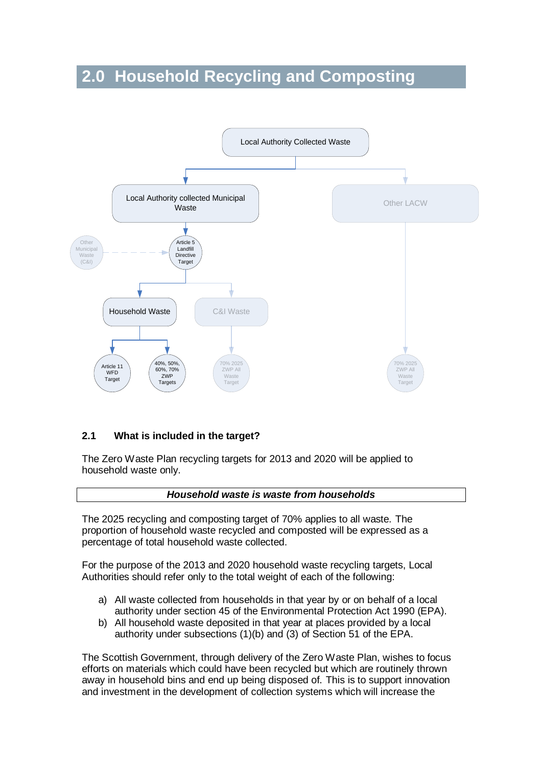# **2.0 Household Recycling and Composting**



#### **2.1 What is included in the target?**

The Zero Waste Plan recycling targets for 2013 and 2020 will be applied to household waste only.

#### **Household waste is waste from households**

The 2025 recycling and composting target of 70% applies to all waste. The proportion of household waste recycled and composted will be expressed as a percentage of total household waste collected.

For the purpose of the 2013 and 2020 household waste recycling targets, Local Authorities should refer only to the total weight of each of the following:

- a) All waste collected from households in that year by or on behalf of a local authority under section 45 of the Environmental Protection Act 1990 (EPA).
- b) All household waste deposited in that year at places provided by a local authority under subsections (1)(b) and (3) of Section 51 of the EPA.

The Scottish Government, through delivery of the Zero Waste Plan, wishes to focus efforts on materials which could have been recycled but which are routinely thrown away in household bins and end up being disposed of. This is to support innovation and investment in the development of collection systems which will increase the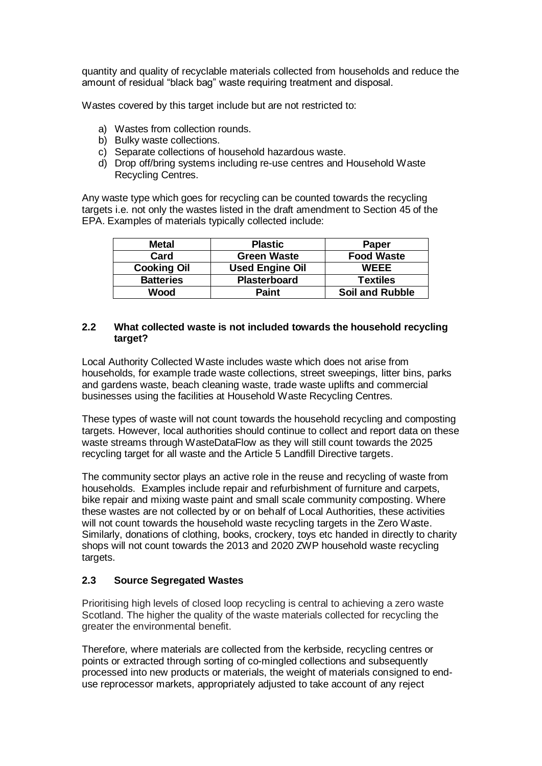quantity and quality of recyclable materials collected from households and reduce the amount of residual "black bag" waste requiring treatment and disposal.

Wastes covered by this target include but are not restricted to:

- a) Wastes from collection rounds.
- b) Bulky waste collections.
- c) Separate collections of household hazardous waste.
- d) Drop off/bring systems including re-use centres and Household Waste Recycling Centres.

Any waste type which goes for recycling can be counted towards the recycling targets i.e. not only the wastes listed in the draft amendment to Section 45 of the EPA. Examples of materials typically collected include:

| <b>Metal</b>       | <b>Plastic</b>         | <b>Paper</b>           |
|--------------------|------------------------|------------------------|
| Card               | <b>Green Waste</b>     | <b>Food Waste</b>      |
| <b>Cooking Oil</b> | <b>Used Engine Oil</b> | <b>WEEE</b>            |
| <b>Batteries</b>   | <b>Plasterboard</b>    | <b>Textiles</b>        |
| Wood               | <b>Paint</b>           | <b>Soil and Rubble</b> |

#### **2.2 What collected waste is not included towards the household recycling target?**

Local Authority Collected Waste includes waste which does not arise from households, for example trade waste collections, street sweepings, litter bins, parks and gardens waste, beach cleaning waste, trade waste uplifts and commercial businesses using the facilities at Household Waste Recycling Centres.

These types of waste will not count towards the household recycling and composting targets. However, local authorities should continue to collect and report data on these waste streams through WasteDataFlow as they will still count towards the 2025 recycling target for all waste and the Article 5 Landfill Directive targets.

The community sector plays an active role in the reuse and recycling of waste from households. Examples include repair and refurbishment of furniture and carpets, bike repair and mixing waste paint and small scale community composting. Where these wastes are not collected by or on behalf of Local Authorities, these activities will not count towards the household waste recycling targets in the Zero Waste. Similarly, donations of clothing, books, crockery, toys etc handed in directly to charity shops will not count towards the 2013 and 2020 ZWP household waste recycling targets.

#### **2.3 Source Segregated Wastes**

Prioritising high levels of closed loop recycling is central to achieving a zero waste Scotland. The higher the quality of the waste materials collected for recycling the greater the environmental benefit.

Therefore, where materials are collected from the kerbside, recycling centres or points or extracted through sorting of co-mingled collections and subsequently processed into new products or materials, the weight of materials consigned to enduse reprocessor markets, appropriately adjusted to take account of any reject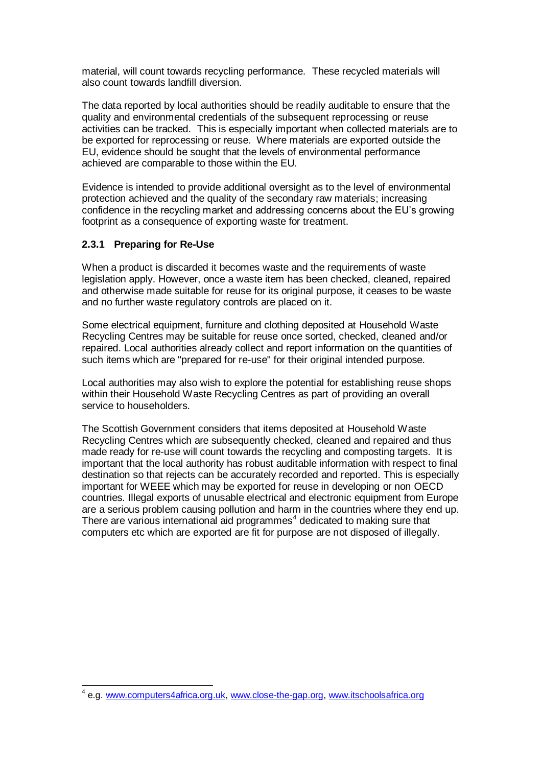material, will count towards recycling performance. These recycled materials will also count towards landfill diversion.

The data reported by local authorities should be readily auditable to ensure that the quality and environmental credentials of the subsequent reprocessing or reuse activities can be tracked. This is especially important when collected materials are to be exported for reprocessing or reuse. Where materials are exported outside the EU, evidence should be sought that the levels of environmental performance achieved are comparable to those within the EU.

Evidence is intended to provide additional oversight as to the level of environmental protection achieved and the quality of the secondary raw materials; increasing confidence in the recycling market and addressing concerns about the EU"s growing footprint as a consequence of exporting waste for treatment.

#### **2.3.1 Preparing for Re-Use**

When a product is discarded it becomes waste and the requirements of waste legislation apply. However, once a waste item has been checked, cleaned, repaired and otherwise made suitable for reuse for its original purpose, it ceases to be waste and no further waste regulatory controls are placed on it.

Some electrical equipment, furniture and clothing deposited at Household Waste Recycling Centres may be suitable for reuse once sorted, checked, cleaned and/or repaired. Local authorities already collect and report information on the quantities of such items which are "prepared for re-use" for their original intended purpose.

Local authorities may also wish to explore the potential for establishing reuse shops within their Household Waste Recycling Centres as part of providing an overall service to householders.

The Scottish Government considers that items deposited at Household Waste Recycling Centres which are subsequently checked, cleaned and repaired and thus made ready for re-use will count towards the recycling and composting targets. It is important that the local authority has robust auditable information with respect to final destination so that rejects can be accurately recorded and reported. This is especially important for WEEE which may be exported for reuse in developing or non OECD countries. Illegal exports of unusable electrical and electronic equipment from Europe are a serious problem causing pollution and harm in the countries where they end up. There are various international aid programmes $4$  dedicated to making sure that computers etc which are exported are fit for purpose are not disposed of illegally.

 4 e.g[. www.computers4africa.org.uk,](http://www.computers4africa.org.uk/) [www.close-the-gap.org,](http://www.close-the-gap.org/) [www.itschoolsafrica.org](http://www.itschoolsafrica.org/)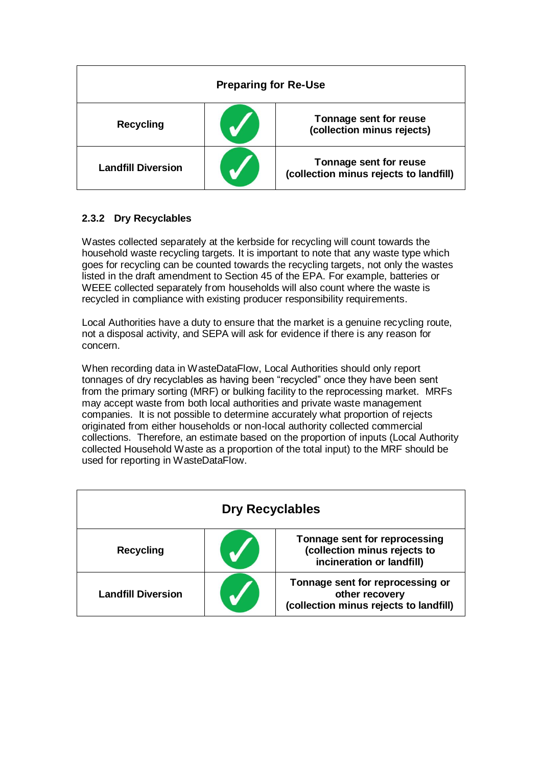| <b>Preparing for Re-Use</b> |  |                                                                  |
|-----------------------------|--|------------------------------------------------------------------|
| <b>Recycling</b>            |  | Tonnage sent for reuse<br>(collection minus rejects)             |
| <b>Landfill Diversion</b>   |  | Tonnage sent for reuse<br>(collection minus rejects to landfill) |

#### **2.3.2 Dry Recyclables**

Wastes collected separately at the kerbside for recycling will count towards the household waste recycling targets. It is important to note that any waste type which goes for recycling can be counted towards the recycling targets, not only the wastes listed in the draft amendment to Section 45 of the EPA. For example, batteries or WEEE collected separately from households will also count where the waste is recycled in compliance with existing producer responsibility requirements.

Local Authorities have a duty to ensure that the market is a genuine recycling route, not a disposal activity, and SEPA will ask for evidence if there is any reason for concern.

When recording data in WasteDataFlow, Local Authorities should only report tonnages of dry recyclables as having been "recycled" once they have been sent from the primary sorting (MRF) or bulking facility to the reprocessing market. MRFs may accept waste from both local authorities and private waste management companies. It is not possible to determine accurately what proportion of rejects originated from either households or non-local authority collected commercial collections. Therefore, an estimate based on the proportion of inputs (Local Authority collected Household Waste as a proportion of the total input) to the MRF should be used for reporting in WasteDataFlow.

| <b>Dry Recyclables</b>    |  |                                                                                              |
|---------------------------|--|----------------------------------------------------------------------------------------------|
| <b>Recycling</b>          |  | Tonnage sent for reprocessing<br>(collection minus rejects to<br>incineration or landfill)   |
| <b>Landfill Diversion</b> |  | Tonnage sent for reprocessing or<br>other recovery<br>(collection minus rejects to landfill) |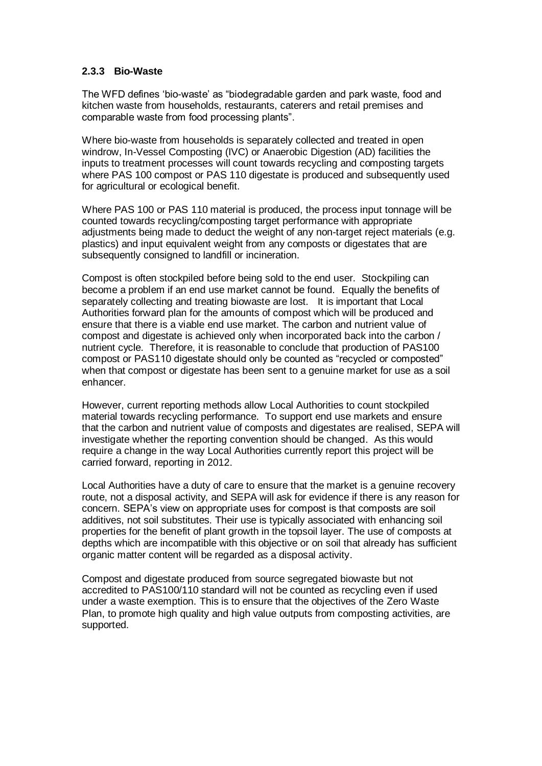#### **2.3.3 Bio-Waste**

The WFD defines "bio-waste" as "biodegradable garden and park waste, food and kitchen waste from households, restaurants, caterers and retail premises and comparable waste from food processing plants".

Where bio-waste from households is separately collected and treated in open windrow, In-Vessel Composting (IVC) or Anaerobic Digestion (AD) facilities the inputs to treatment processes will count towards recycling and composting targets where PAS 100 compost or PAS 110 digestate is produced and subsequently used for agricultural or ecological benefit.

Where PAS 100 or PAS 110 material is produced, the process input tonnage will be counted towards recycling/composting target performance with appropriate adjustments being made to deduct the weight of any non-target reject materials (e.g. plastics) and input equivalent weight from any composts or digestates that are subsequently consigned to landfill or incineration.

Compost is often stockpiled before being sold to the end user. Stockpiling can become a problem if an end use market cannot be found. Equally the benefits of separately collecting and treating biowaste are lost. It is important that Local Authorities forward plan for the amounts of compost which will be produced and ensure that there is a viable end use market. The carbon and nutrient value of compost and digestate is achieved only when incorporated back into the carbon / nutrient cycle. Therefore, it is reasonable to conclude that production of PAS100 compost or PAS110 digestate should only be counted as "recycled or composted" when that compost or digestate has been sent to a genuine market for use as a soil enhancer.

However, current reporting methods allow Local Authorities to count stockpiled material towards recycling performance. To support end use markets and ensure that the carbon and nutrient value of composts and digestates are realised, SEPA will investigate whether the reporting convention should be changed. As this would require a change in the way Local Authorities currently report this project will be carried forward, reporting in 2012.

Local Authorities have a duty of care to ensure that the market is a genuine recovery route, not a disposal activity, and SEPA will ask for evidence if there is any reason for concern. SEPA"s view on appropriate uses for compost is that composts are soil additives, not soil substitutes. Their use is typically associated with enhancing soil properties for the benefit of plant growth in the topsoil layer. The use of composts at depths which are incompatible with this objective or on soil that already has sufficient organic matter content will be regarded as a disposal activity.

Compost and digestate produced from source segregated biowaste but not accredited to PAS100/110 standard will not be counted as recycling even if used under a waste exemption. This is to ensure that the objectives of the Zero Waste Plan, to promote high quality and high value outputs from composting activities, are supported.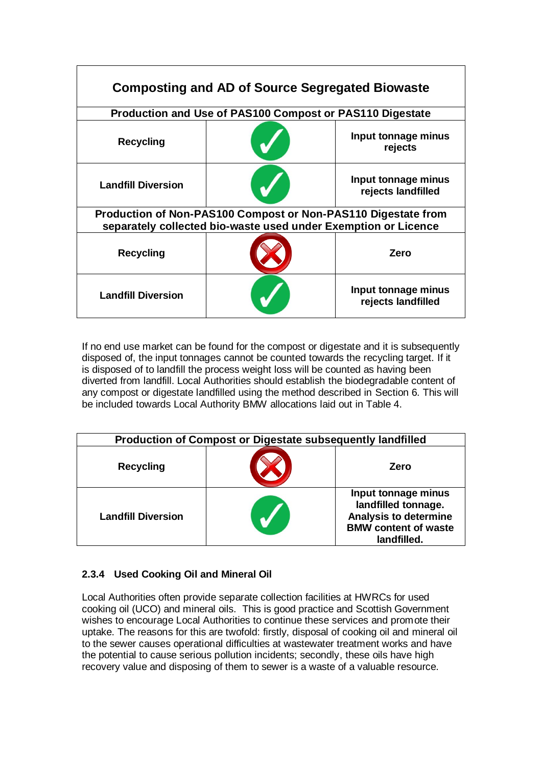| <b>Composting and AD of Source Segregated Biowaste</b>                                                                          |                                                          |                                           |  |
|---------------------------------------------------------------------------------------------------------------------------------|----------------------------------------------------------|-------------------------------------------|--|
|                                                                                                                                 | Production and Use of PAS100 Compost or PAS110 Digestate |                                           |  |
| <b>Recycling</b>                                                                                                                |                                                          | Input tonnage minus<br>rejects            |  |
| <b>Landfill Diversion</b>                                                                                                       |                                                          | Input tonnage minus<br>rejects landfilled |  |
| Production of Non-PAS100 Compost or Non-PAS110 Digestate from<br>separately collected bio-waste used under Exemption or Licence |                                                          |                                           |  |
| <b>Recycling</b>                                                                                                                |                                                          | Zero                                      |  |
| <b>Landfill Diversion</b>                                                                                                       |                                                          | Input tonnage minus<br>rejects landfilled |  |

If no end use market can be found for the compost or digestate and it is subsequently disposed of, the input tonnages cannot be counted towards the recycling target. If it is disposed of to landfill the process weight loss will be counted as having been diverted from landfill. Local Authorities should establish the biodegradable content of any compost or digestate landfilled using the method described in Section 6. This will be included towards Local Authority BMW allocations laid out in Table 4.

| <b>Production of Compost or Digestate subsequently landfilled</b> |  |                                                                                                                          |
|-------------------------------------------------------------------|--|--------------------------------------------------------------------------------------------------------------------------|
| <b>Recycling</b>                                                  |  | Zero                                                                                                                     |
| <b>Landfill Diversion</b>                                         |  | Input tonnage minus<br>landfilled tonnage.<br><b>Analysis to determine</b><br><b>BMW</b> content of waste<br>landfilled. |

#### **2.3.4 Used Cooking Oil and Mineral Oil**

Local Authorities often provide separate collection facilities at HWRCs for used cooking oil (UCO) and mineral oils. This is good practice and Scottish Government wishes to encourage Local Authorities to continue these services and promote their uptake. The reasons for this are twofold: firstly, disposal of cooking oil and mineral oil to the sewer causes operational difficulties at wastewater treatment works and have the potential to cause serious pollution incidents; secondly, these oils have high recovery value and disposing of them to sewer is a waste of a valuable resource.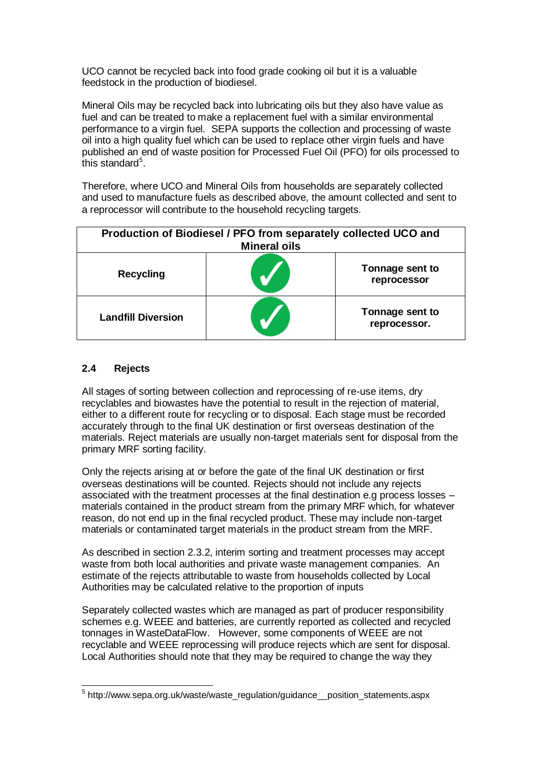UCO cannot be recycled back into food grade cooking oil but it is a valuable feedstock in the production of biodiesel.

Mineral Oils may be recycled back into lubricating oils but they also have value as fuel and can be treated to make a replacement fuel with a similar environmental performance to a virgin fuel. SEPA supports the collection and processing of waste oil into a high quality fuel which can be used to replace other virgin fuels and have published an end of waste position for Processed Fuel Oil (PFO) for oils processed to this standard<sup>5</sup>.

Therefore, where UCO and Mineral Oils from households are separately collected and used to manufacture fuels as described above, the amount collected and sent to a reprocessor will contribute to the household recycling targets.

| Production of Biodiesel / PFO from separately collected UCO and<br><b>Mineral oils</b> |  |                                 |
|----------------------------------------------------------------------------------------|--|---------------------------------|
| <b>Recycling</b>                                                                       |  | Tonnage sent to<br>reprocessor  |
| <b>Landfill Diversion</b>                                                              |  | Tonnage sent to<br>reprocessor. |

#### **2.4 Rejects**

All stages of sorting between collection and reprocessing of re-use items, dry recyclables and biowastes have the potential to result in the rejection of material, either to a different route for recycling or to disposal. Each stage must be recorded accurately through to the final UK destination or first overseas destination of the materials. Reject materials are usually non-target materials sent for disposal from the primary MRF sorting facility.

Only the rejects arising at or before the gate of the final UK destination or first overseas destinations will be counted. Rejects should not include any rejects associated with the treatment processes at the final destination e.g process losses – materials contained in the product stream from the primary MRF which, for whatever reason, do not end up in the final recycled product. These may include non-target materials or contaminated target materials in the product stream from the MRF.

As described in section 2.3.2, interim sorting and treatment processes may accept waste from both local authorities and private waste management companies. An estimate of the rejects attributable to waste from households collected by Local Authorities may be calculated relative to the proportion of inputs

Separately collected wastes which are managed as part of producer responsibility schemes e.g. WEEE and batteries, are currently reported as collected and recycled tonnages in WasteDataFlow. However, some components of WEEE are not recyclable and WEEE reprocessing will produce rejects which are sent for disposal. Local Authorities should note that they may be required to change the way they

\_\_\_\_\_\_\_\_\_\_\_\_\_\_\_\_\_\_\_\_\_\_\_\_\_\_\_\_\_\_\_\_\_\_\_<br><sup>5</sup> http://www.sepa.org.uk/waste/waste\_regulation/guidance\_\_position\_statements.aspx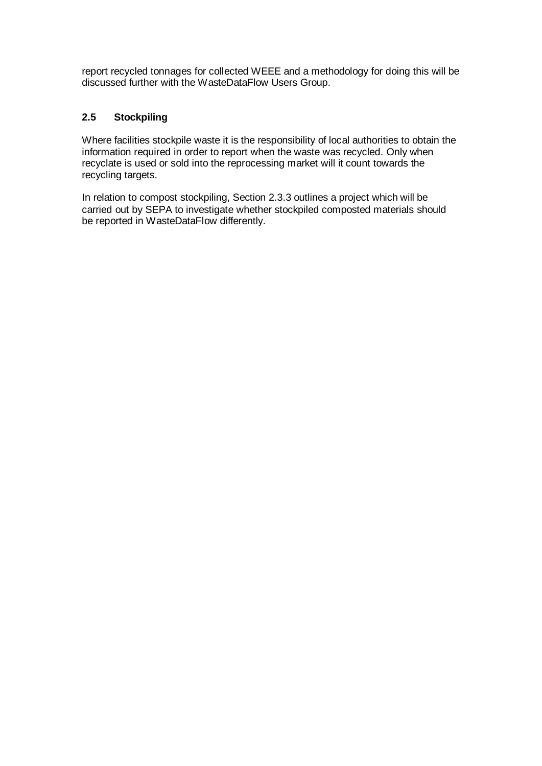report recycled tonnages for collected WEEE and a methodology for doing this will be discussed further with the WasteDataFlow Users Group.

#### **2.5 Stockpiling**

Where facilities stockpile waste it is the responsibility of local authorities to obtain the information required in order to report when the waste was recycled. Only when recyclate is used or sold into the reprocessing market will it count towards the recycling targets.

In relation to compost stockpiling, Section 2.3.3 outlines a project which will be carried out by SEPA to investigate whether stockpiled composted materials should be reported in WasteDataFlow differently.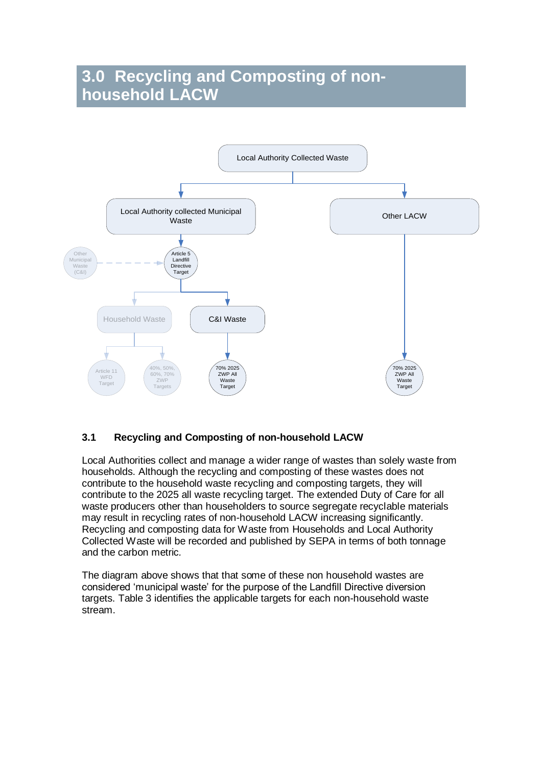## **3.0 Recycling and Composting of nonhousehold LACW**



#### **3.1 Recycling and Composting of non-household LACW**

Local Authorities collect and manage a wider range of wastes than solely waste from households. Although the recycling and composting of these wastes does not contribute to the household waste recycling and composting targets, they will contribute to the 2025 all waste recycling target. The extended Duty of Care for all waste producers other than householders to source segregate recyclable materials may result in recycling rates of non-household LACW increasing significantly. Recycling and composting data for Waste from Households and Local Authority Collected Waste will be recorded and published by SEPA in terms of both tonnage and the carbon metric.

The diagram above shows that that some of these non household wastes are considered "municipal waste" for the purpose of the Landfill Directive diversion targets. Table 3 identifies the applicable targets for each non-household waste stream.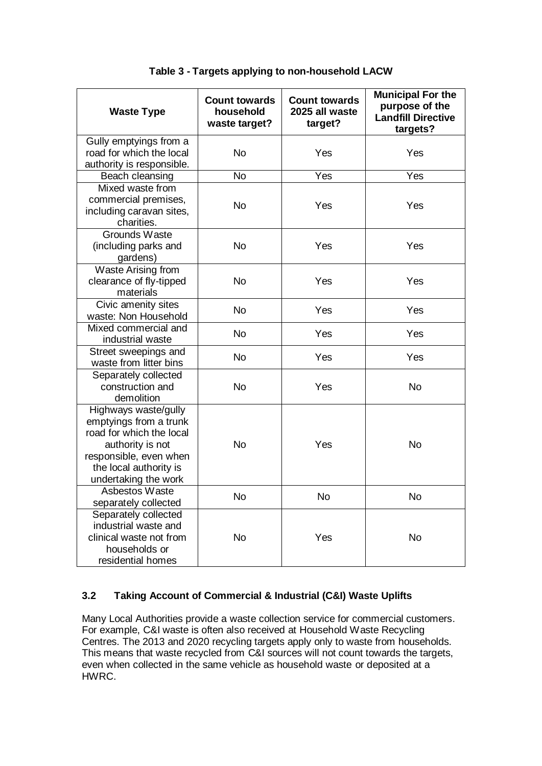| <b>Waste Type</b>                                                                                                                                                          | <b>Count towards</b><br>household<br>waste target? | <b>Count towards</b><br>2025 all waste<br>target? | <b>Municipal For the</b><br>purpose of the<br><b>Landfill Directive</b><br>targets? |
|----------------------------------------------------------------------------------------------------------------------------------------------------------------------------|----------------------------------------------------|---------------------------------------------------|-------------------------------------------------------------------------------------|
| Gully emptyings from a<br>road for which the local<br>authority is responsible.                                                                                            | <b>No</b>                                          | Yes                                               | Yes                                                                                 |
| Beach cleansing                                                                                                                                                            | <b>No</b>                                          | Yes                                               | Yes                                                                                 |
| Mixed waste from<br>commercial premises,<br>including caravan sites,<br>charities.                                                                                         | <b>No</b>                                          | Yes                                               | Yes                                                                                 |
| Grounds Waste<br>(including parks and<br>gardens)                                                                                                                          | <b>No</b>                                          | Yes                                               | Yes                                                                                 |
| Waste Arising from<br>clearance of fly-tipped<br>materials                                                                                                                 | <b>No</b>                                          | Yes                                               | Yes                                                                                 |
| Civic amenity sites<br>waste: Non Household                                                                                                                                | <b>No</b>                                          | Yes                                               | Yes                                                                                 |
| Mixed commercial and<br>industrial waste                                                                                                                                   | <b>No</b>                                          | Yes                                               | Yes                                                                                 |
| Street sweepings and<br>waste from litter bins                                                                                                                             | <b>No</b>                                          | Yes                                               | Yes                                                                                 |
| Separately collected<br>construction and<br>demolition                                                                                                                     | <b>No</b>                                          | Yes                                               | <b>No</b>                                                                           |
| Highways waste/gully<br>emptyings from a trunk<br>road for which the local<br>authority is not<br>responsible, even when<br>the local authority is<br>undertaking the work | <b>No</b>                                          | Yes                                               | <b>No</b>                                                                           |
| Asbestos Waste<br>separately collected                                                                                                                                     | No                                                 | No                                                | No                                                                                  |
| Separately collected<br>industrial waste and<br>clinical waste not from<br>households or<br>residential homes                                                              | <b>No</b>                                          | Yes                                               | No                                                                                  |

#### **Table 3 - Targets applying to non-household LACW**

#### **3.2 Taking Account of Commercial & Industrial (C&I) Waste Uplifts**

Many Local Authorities provide a waste collection service for commercial customers. For example, C&I waste is often also received at Household Waste Recycling Centres. The 2013 and 2020 recycling targets apply only to waste from households. This means that waste recycled from C&I sources will not count towards the targets, even when collected in the same vehicle as household waste or deposited at a HWRC.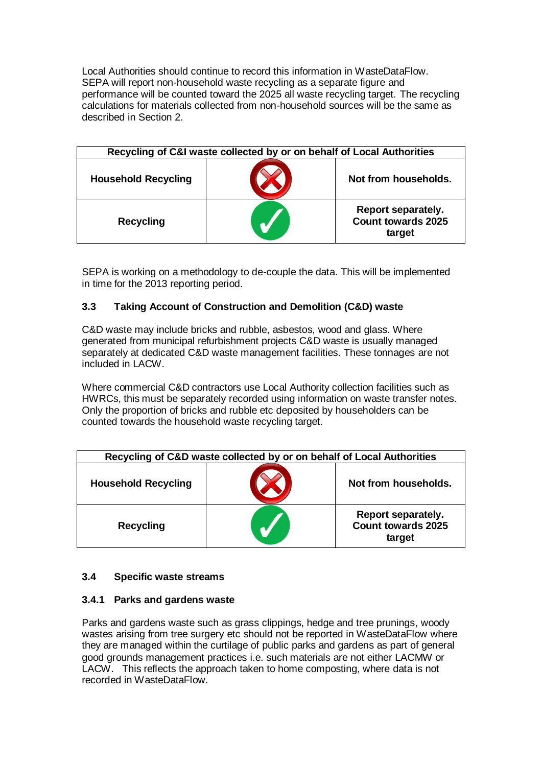Local Authorities should continue to record this information in WasteDataFlow. SEPA will report non-household waste recycling as a separate figure and performance will be counted toward the 2025 all waste recycling target. The recycling calculations for materials collected from non-household sources will be the same as described in Section 2.

| Recycling of C&I waste collected by or on behalf of Local Authorities |  |                                                           |
|-----------------------------------------------------------------------|--|-----------------------------------------------------------|
| <b>Household Recycling</b>                                            |  | Not from households.                                      |
| <b>Recycling</b>                                                      |  | Report separately.<br><b>Count towards 2025</b><br>target |

SEPA is working on a methodology to de-couple the data. This will be implemented in time for the 2013 reporting period.

#### **3.3 Taking Account of Construction and Demolition (C&D) waste**

C&D waste may include bricks and rubble, asbestos, wood and glass. Where generated from municipal refurbishment projects C&D waste is usually managed separately at dedicated C&D waste management facilities. These tonnages are not included in LACW.

Where commercial C&D contractors use Local Authority collection facilities such as HWRCs, this must be separately recorded using information on waste transfer notes. Only the proportion of bricks and rubble etc deposited by householders can be counted towards the household waste recycling target.

| Recycling of C&D waste collected by or on behalf of Local Authorities |  |                                                           |
|-----------------------------------------------------------------------|--|-----------------------------------------------------------|
| <b>Household Recycling</b>                                            |  | Not from households.                                      |
| <b>Recycling</b>                                                      |  | Report separately.<br><b>Count towards 2025</b><br>target |

#### **3.4 Specific waste streams**

#### **3.4.1 Parks and gardens waste**

Parks and gardens waste such as grass clippings, hedge and tree prunings, woody wastes arising from tree surgery etc should not be reported in WasteDataFlow where they are managed within the curtilage of public parks and gardens as part of general good grounds management practices i.e. such materials are not either LACMW or LACW. This reflects the approach taken to home composting, where data is not recorded in WasteDataFlow.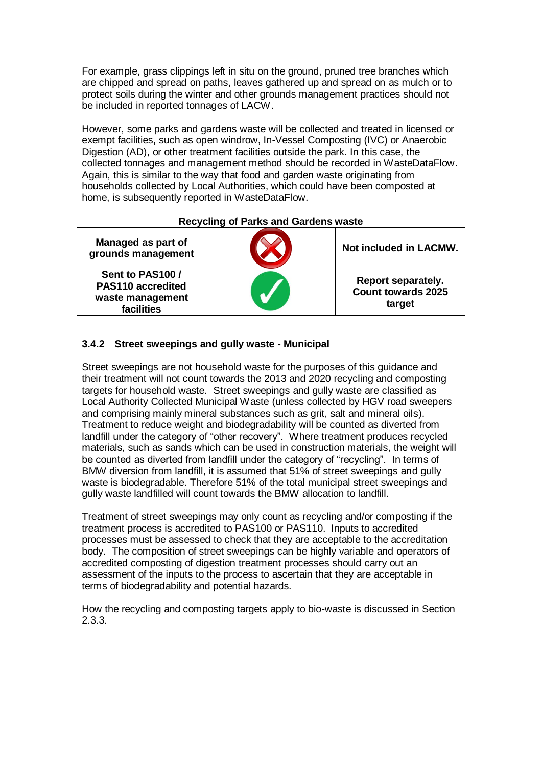For example, grass clippings left in situ on the ground, pruned tree branches which are chipped and spread on paths, leaves gathered up and spread on as mulch or to protect soils during the winter and other grounds management practices should not be included in reported tonnages of LACW.

However, some parks and gardens waste will be collected and treated in licensed or exempt facilities, such as open windrow, In-Vessel Composting (IVC) or Anaerobic Digestion (AD), or other treatment facilities outside the park. In this case, the collected tonnages and management method should be recorded in WasteDataFlow. Again, this is similar to the way that food and garden waste originating from households collected by Local Authorities, which could have been composted at home, is subsequently reported in WasteDataFlow.

| <b>Recycling of Parks and Gardens waste</b>                             |  |                                                           |
|-------------------------------------------------------------------------|--|-----------------------------------------------------------|
| Managed as part of<br>grounds management                                |  | Not included in LACMW.                                    |
| Sent to PAS100 /<br>PAS110 accredited<br>waste management<br>facilities |  | Report separately.<br><b>Count towards 2025</b><br>target |

#### **3.4.2 Street sweepings and gully waste - Municipal**

Street sweepings are not household waste for the purposes of this guidance and their treatment will not count towards the 2013 and 2020 recycling and composting targets for household waste. Street sweepings and gully waste are classified as Local Authority Collected Municipal Waste (unless collected by HGV road sweepers and comprising mainly mineral substances such as grit, salt and mineral oils). Treatment to reduce weight and biodegradability will be counted as diverted from landfill under the category of "other recovery". Where treatment produces recycled materials, such as sands which can be used in construction materials, the weight will be counted as diverted from landfill under the category of "recycling". In terms of BMW diversion from landfill, it is assumed that 51% of street sweepings and gully waste is biodegradable. Therefore 51% of the total municipal street sweepings and gully waste landfilled will count towards the BMW allocation to landfill.

Treatment of street sweepings may only count as recycling and/or composting if the treatment process is accredited to PAS100 or PAS110. Inputs to accredited processes must be assessed to check that they are acceptable to the accreditation body. The composition of street sweepings can be highly variable and operators of accredited composting of digestion treatment processes should carry out an assessment of the inputs to the process to ascertain that they are acceptable in terms of biodegradability and potential hazards.

How the recycling and composting targets apply to bio-waste is discussed in Section 2.3.3.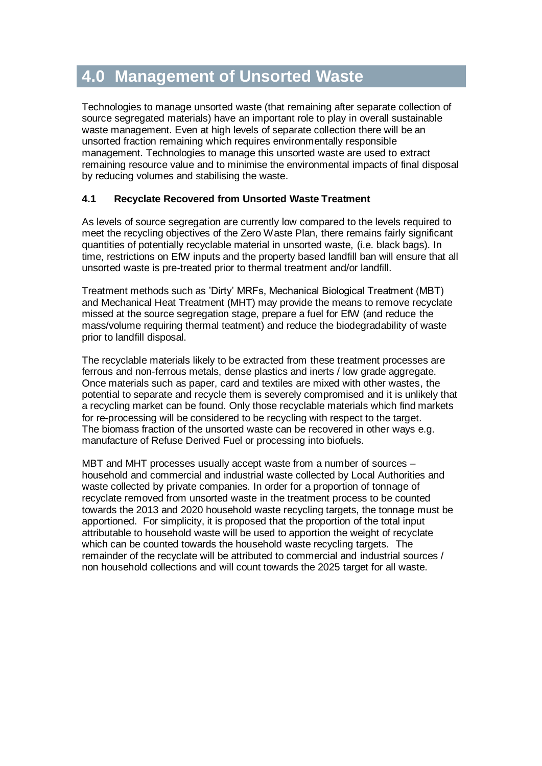### **4.0 Management of Unsorted Waste**

Technologies to manage unsorted waste (that remaining after separate collection of source segregated materials) have an important role to play in overall sustainable waste management. Even at high levels of separate collection there will be an unsorted fraction remaining which requires environmentally responsible management. Technologies to manage this unsorted waste are used to extract remaining resource value and to minimise the environmental impacts of final disposal by reducing volumes and stabilising the waste.

#### **4.1 Recyclate Recovered from Unsorted Waste Treatment**

As levels of source segregation are currently low compared to the levels required to meet the recycling objectives of the Zero Waste Plan, there remains fairly significant quantities of potentially recyclable material in unsorted waste, (i.e. black bags). In time, restrictions on EfW inputs and the property based landfill ban will ensure that all unsorted waste is pre-treated prior to thermal treatment and/or landfill.

Treatment methods such as "Dirty" MRFs, Mechanical Biological Treatment (MBT) and Mechanical Heat Treatment (MHT) may provide the means to remove recyclate missed at the source segregation stage, prepare a fuel for EfW (and reduce the mass/volume requiring thermal teatment) and reduce the biodegradability of waste prior to landfill disposal.

The recyclable materials likely to be extracted from these treatment processes are ferrous and non-ferrous metals, dense plastics and inerts / low grade aggregate. Once materials such as paper, card and textiles are mixed with other wastes, the potential to separate and recycle them is severely compromised and it is unlikely that a recycling market can be found. Only those recyclable materials which find markets for re-processing will be considered to be recycling with respect to the target. The biomass fraction of the unsorted waste can be recovered in other ways e.g. manufacture of Refuse Derived Fuel or processing into biofuels.

MBT and MHT processes usually accept waste from a number of sources – household and commercial and industrial waste collected by Local Authorities and waste collected by private companies. In order for a proportion of tonnage of recyclate removed from unsorted waste in the treatment process to be counted towards the 2013 and 2020 household waste recycling targets, the tonnage must be apportioned. For simplicity, it is proposed that the proportion of the total input attributable to household waste will be used to apportion the weight of recyclate which can be counted towards the household waste recycling targets. The remainder of the recyclate will be attributed to commercial and industrial sources / non household collections and will count towards the 2025 target for all waste.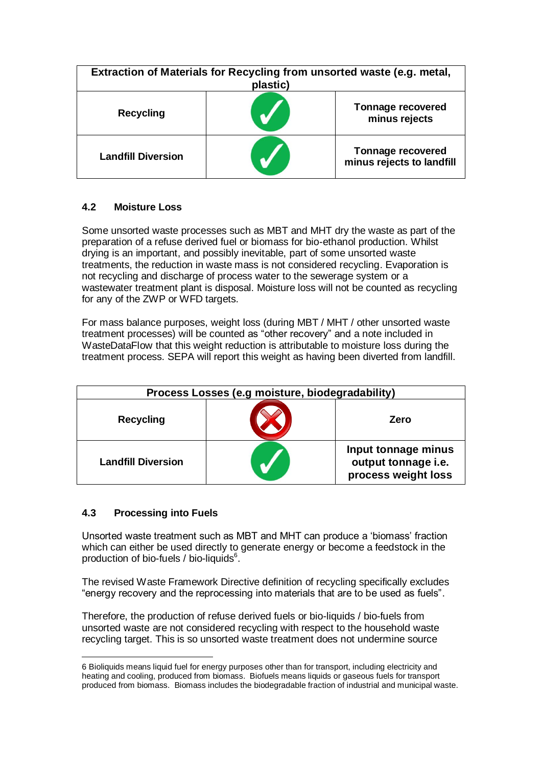| Extraction of Materials for Recycling from unsorted waste (e.g. metal,<br>plastic) |  |                                                       |  |  |
|------------------------------------------------------------------------------------|--|-------------------------------------------------------|--|--|
| <b>Recycling</b>                                                                   |  | <b>Tonnage recovered</b><br>minus rejects             |  |  |
| <b>Landfill Diversion</b>                                                          |  | <b>Tonnage recovered</b><br>minus rejects to landfill |  |  |

#### **4.2 Moisture Loss**

Some unsorted waste processes such as MBT and MHT dry the waste as part of the preparation of a refuse derived fuel or biomass for bio-ethanol production. Whilst drying is an important, and possibly inevitable, part of some unsorted waste treatments, the reduction in waste mass is not considered recycling. Evaporation is not recycling and discharge of process water to the sewerage system or a wastewater treatment plant is disposal. Moisture loss will not be counted as recycling for any of the ZWP or WFD targets.

For mass balance purposes, weight loss (during MBT / MHT / other unsorted waste treatment processes) will be counted as "other recovery" and a note included in WasteDataFlow that this weight reduction is attributable to moisture loss during the treatment process. SEPA will report this weight as having been diverted from landfill.

| Process Losses (e.g moisture, biodegradability) |  |                                                                   |  |  |  |
|-------------------------------------------------|--|-------------------------------------------------------------------|--|--|--|
| <b>Recycling</b>                                |  | Zero                                                              |  |  |  |
| <b>Landfill Diversion</b>                       |  | Input tonnage minus<br>output tonnage i.e.<br>process weight loss |  |  |  |

#### **4.3 Processing into Fuels**

Unsorted waste treatment such as MBT and MHT can produce a "biomass" fraction which can either be used directly to generate energy or become a feedstock in the production of bio-fuels / bio-liquids<sup>6</sup>.

The revised Waste Framework Directive definition of recycling specifically excludes "energy recovery and the reprocessing into materials that are to be used as fuels".

Therefore, the production of refuse derived fuels or bio-liquids / bio-fuels from unsorted waste are not considered recycling with respect to the household waste recycling target. This is so unsorted waste treatment does not undermine source

<sup>&</sup>lt;u>.</u> 6 Bioliquids means liquid fuel for energy purposes other than for transport, including electricity and heating and cooling, produced from biomass. Biofuels means liquids or gaseous fuels for transport produced from biomass. Biomass includes the biodegradable fraction of industrial and municipal waste.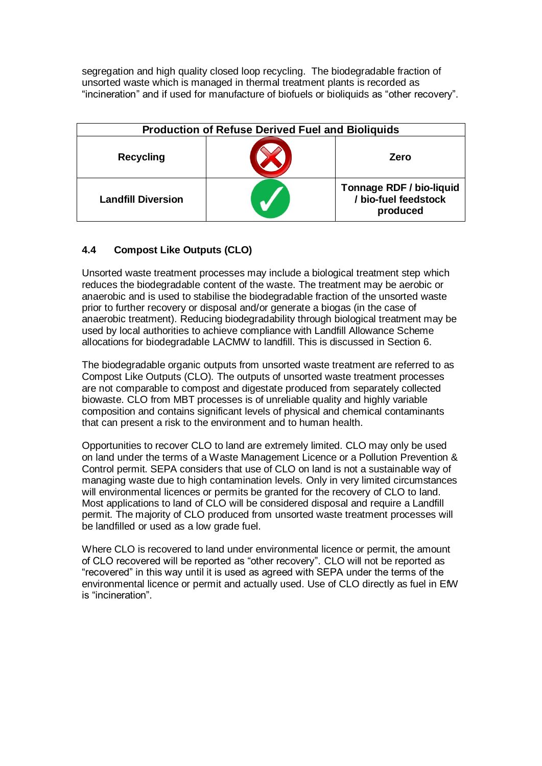segregation and high quality closed loop recycling. The biodegradable fraction of unsorted waste which is managed in thermal treatment plants is recorded as "incineration" and if used for manufacture of biofuels or bioliquids as "other recovery".

| <b>Production of Refuse Derived Fuel and Bioliquids</b> |  |                                                                     |  |  |  |
|---------------------------------------------------------|--|---------------------------------------------------------------------|--|--|--|
| <b>Recycling</b>                                        |  | Zero                                                                |  |  |  |
| <b>Landfill Diversion</b>                               |  | <b>Tonnage RDF / bio-liquid</b><br>/ bio-fuel feedstock<br>produced |  |  |  |

#### **4.4 Compost Like Outputs (CLO)**

Unsorted waste treatment processes may include a biological treatment step which reduces the biodegradable content of the waste. The treatment may be aerobic or anaerobic and is used to stabilise the biodegradable fraction of the unsorted waste prior to further recovery or disposal and/or generate a biogas (in the case of anaerobic treatment). Reducing biodegradability through biological treatment may be used by local authorities to achieve compliance with Landfill Allowance Scheme allocations for biodegradable LACMW to landfill. This is discussed in Section 6.

The biodegradable organic outputs from unsorted waste treatment are referred to as Compost Like Outputs (CLO). The outputs of unsorted waste treatment processes are not comparable to compost and digestate produced from separately collected biowaste. CLO from MBT processes is of unreliable quality and highly variable composition and contains significant levels of physical and chemical contaminants that can present a risk to the environment and to human health.

Opportunities to recover CLO to land are extremely limited. CLO may only be used on land under the terms of a Waste Management Licence or a Pollution Prevention & Control permit. SEPA considers that use of CLO on land is not a sustainable way of managing waste due to high contamination levels. Only in very limited circumstances will environmental licences or permits be granted for the recovery of CLO to land. Most applications to land of CLO will be considered disposal and require a Landfill permit. The majority of CLO produced from unsorted waste treatment processes will be landfilled or used as a low grade fuel.

Where CLO is recovered to land under environmental licence or permit, the amount of CLO recovered will be reported as "other recovery". CLO will not be reported as "recovered" in this way until it is used as agreed with SEPA under the terms of the environmental licence or permit and actually used. Use of CLO directly as fuel in EfW is "incineration".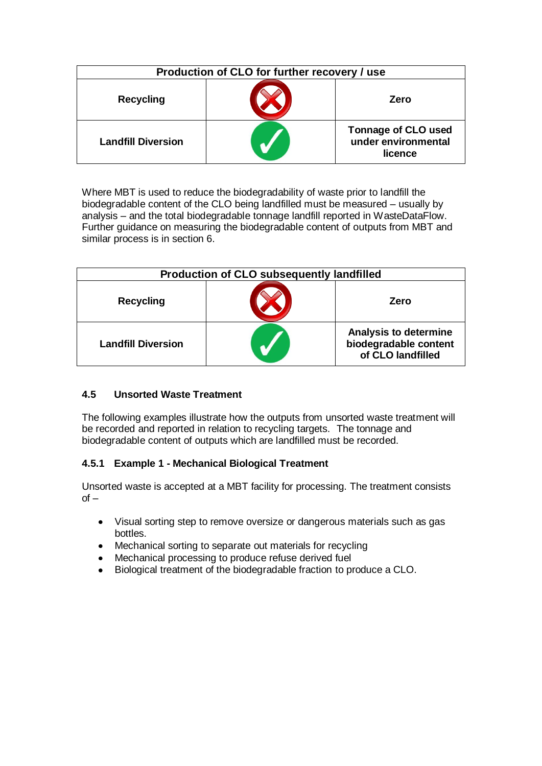| Production of CLO for further recovery / use |  |                                                              |  |  |
|----------------------------------------------|--|--------------------------------------------------------------|--|--|
| <b>Recycling</b>                             |  | Zero                                                         |  |  |
| <b>Landfill Diversion</b>                    |  | <b>Tonnage of CLO used</b><br>under environmental<br>licence |  |  |

Where MBT is used to reduce the biodegradability of waste prior to landfill the biodegradable content of the CLO being landfilled must be measured – usually by analysis – and the total biodegradable tonnage landfill reported in WasteDataFlow. Further guidance on measuring the biodegradable content of outputs from MBT and similar process is in section 6.

| <b>Production of CLO subsequently landfilled</b> |  |                                                                            |  |  |  |
|--------------------------------------------------|--|----------------------------------------------------------------------------|--|--|--|
| <b>Recycling</b>                                 |  | Zero                                                                       |  |  |  |
| <b>Landfill Diversion</b>                        |  | <b>Analysis to determine</b><br>biodegradable content<br>of CLO landfilled |  |  |  |

#### **4.5 Unsorted Waste Treatment**

The following examples illustrate how the outputs from unsorted waste treatment will be recorded and reported in relation to recycling targets. The tonnage and biodegradable content of outputs which are landfilled must be recorded.

#### **4.5.1 Example 1 - Mechanical Biological Treatment**

Unsorted waste is accepted at a MBT facility for processing. The treatment consists  $of -$ 

- Visual sorting step to remove oversize or dangerous materials such as gas bottles.
- $\bullet$ Mechanical sorting to separate out materials for recycling
- Mechanical processing to produce refuse derived fuel  $\bullet$
- Biological treatment of the biodegradable fraction to produce a CLO.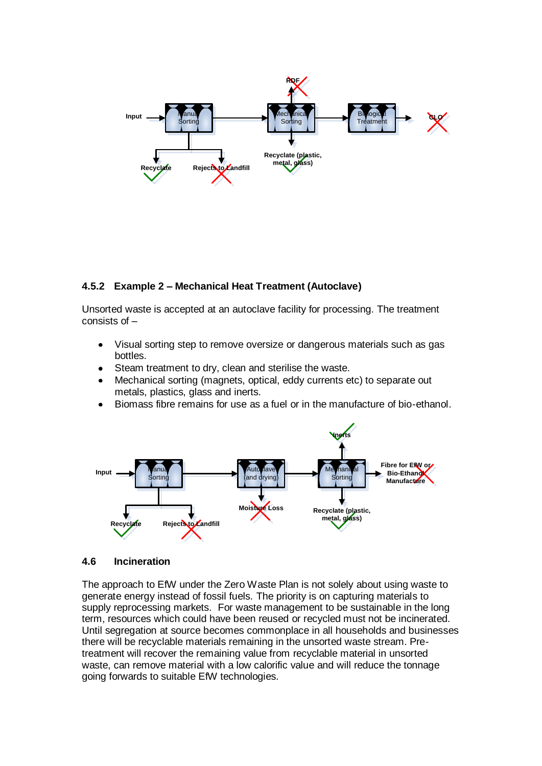

#### **4.5.2 Example 2 – Mechanical Heat Treatment (Autoclave)**

Unsorted waste is accepted at an autoclave facility for processing. The treatment consists of –

- Visual sorting step to remove oversize or dangerous materials such as gas bottles.
- Steam treatment to dry, clean and sterilise the waste.
- Mechanical sorting (magnets, optical, eddy currents etc) to separate out metals, plastics, glass and inerts.
- Biomass fibre remains for use as a fuel or in the manufacture of bio-ethanol.



#### **4.6 Incineration**

The approach to EfW under the Zero Waste Plan is not solely about using waste to generate energy instead of fossil fuels. The priority is on capturing materials to supply reprocessing markets. For waste management to be sustainable in the long term, resources which could have been reused or recycled must not be incinerated. Until segregation at source becomes commonplace in all households and businesses there will be recyclable materials remaining in the unsorted waste stream. Pretreatment will recover the remaining value from recyclable material in unsorted waste, can remove material with a low calorific value and will reduce the tonnage going forwards to suitable EfW technologies.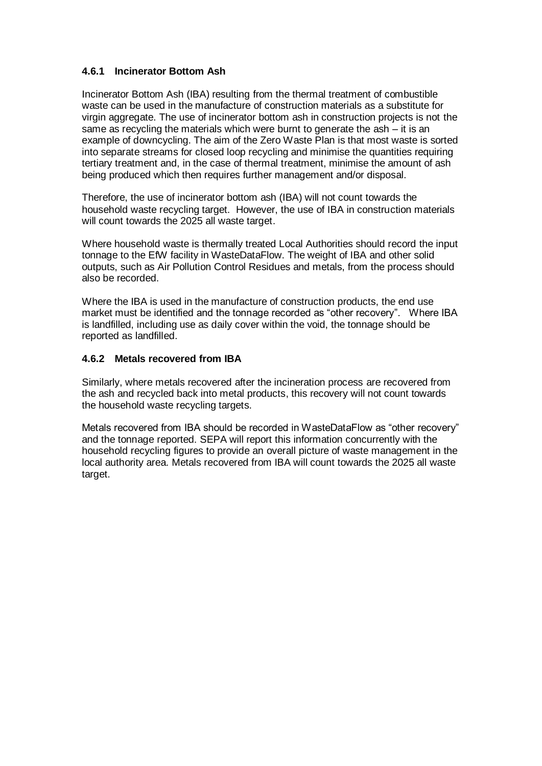#### **4.6.1 Incinerator Bottom Ash**

Incinerator Bottom Ash (IBA) resulting from the thermal treatment of combustible waste can be used in the manufacture of construction materials as a substitute for virgin aggregate. The use of incinerator bottom ash in construction projects is not the same as recycling the materials which were burnt to generate the ash – it is an example of downcycling. The aim of the Zero Waste Plan is that most waste is sorted into separate streams for closed loop recycling and minimise the quantities requiring tertiary treatment and, in the case of thermal treatment, minimise the amount of ash being produced which then requires further management and/or disposal.

Therefore, the use of incinerator bottom ash (IBA) will not count towards the household waste recycling target. However, the use of IBA in construction materials will count towards the 2025 all waste target.

Where household waste is thermally treated Local Authorities should record the input tonnage to the EfW facility in WasteDataFlow. The weight of IBA and other solid outputs, such as Air Pollution Control Residues and metals, from the process should also be recorded.

Where the IBA is used in the manufacture of construction products, the end use market must be identified and the tonnage recorded as "other recovery". Where IBA is landfilled, including use as daily cover within the void, the tonnage should be reported as landfilled.

#### **4.6.2 Metals recovered from IBA**

Similarly, where metals recovered after the incineration process are recovered from the ash and recycled back into metal products, this recovery will not count towards the household waste recycling targets.

Metals recovered from IBA should be recorded in WasteDataFlow as "other recovery" and the tonnage reported. SEPA will report this information concurrently with the household recycling figures to provide an overall picture of waste management in the local authority area. Metals recovered from IBA will count towards the 2025 all waste target.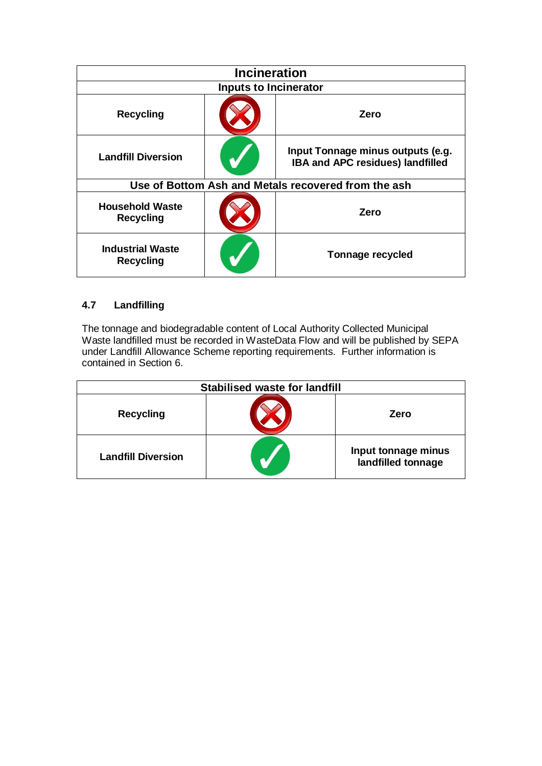| <b>Incineration</b>                         |  |                                                                       |  |  |  |
|---------------------------------------------|--|-----------------------------------------------------------------------|--|--|--|
| <b>Inputs to Incinerator</b>                |  |                                                                       |  |  |  |
| <b>Recycling</b>                            |  | Zero                                                                  |  |  |  |
| <b>Landfill Diversion</b>                   |  | Input Tonnage minus outputs (e.g.<br>IBA and APC residues) landfilled |  |  |  |
|                                             |  | Use of Bottom Ash and Metals recovered from the ash                   |  |  |  |
| <b>Household Waste</b><br><b>Recycling</b>  |  | Zero                                                                  |  |  |  |
| <b>Industrial Waste</b><br><b>Recycling</b> |  | <b>Tonnage recycled</b>                                               |  |  |  |

#### **4.7 Landfilling**

The tonnage and biodegradable content of Local Authority Collected Municipal Waste landfilled must be recorded in WasteData Flow and will be published by SEPA under Landfill Allowance Scheme reporting requirements. Further information is contained in Section 6.

| Stabilised waste for landfill |  |                                           |  |  |
|-------------------------------|--|-------------------------------------------|--|--|
| <b>Recycling</b>              |  | Zero                                      |  |  |
| <b>Landfill Diversion</b>     |  | Input tonnage minus<br>landfilled tonnage |  |  |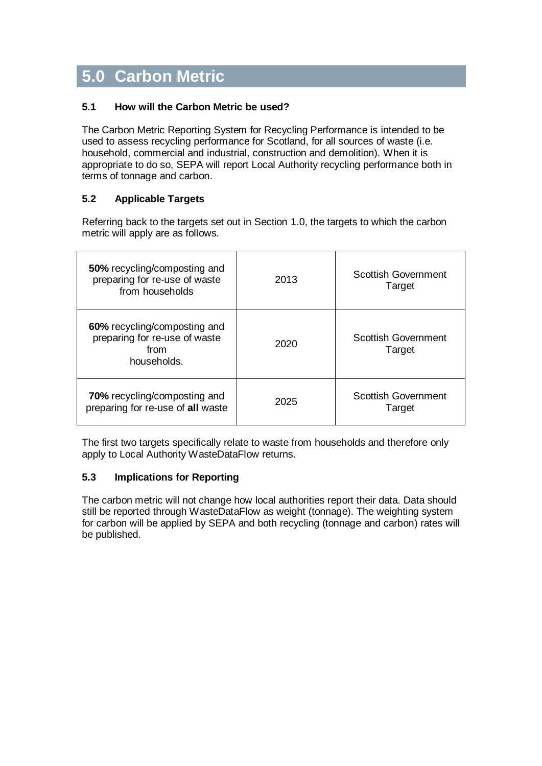# **5.0 Carbon Metric**

#### **5.1 How will the Carbon Metric be used?**

The Carbon Metric Reporting System for Recycling Performance is intended to be used to assess recycling performance for Scotland, for all sources of waste (i.e. household, commercial and industrial, construction and demolition). When it is appropriate to do so, SEPA will report Local Authority recycling performance both in terms of tonnage and carbon.

#### **5.2 Applicable Targets**

Referring back to the targets set out in Section 1.0, the targets to which the carbon metric will apply are as follows.

| 50% recycling/composting and<br>preparing for re-use of waste<br>from households     | 2013 | <b>Scottish Government</b><br>Target |
|--------------------------------------------------------------------------------------|------|--------------------------------------|
| 60% recycling/composting and<br>preparing for re-use of waste<br>from<br>households. | 2020 | <b>Scottish Government</b><br>Target |
| 70% recycling/composting and<br>preparing for re-use of all waste                    | 2025 | <b>Scottish Government</b><br>Target |

The first two targets specifically relate to waste from households and therefore only apply to Local Authority WasteDataFlow returns.

#### **5.3 Implications for Reporting**

The carbon metric will not change how local authorities report their data. Data should still be reported through WasteDataFlow as weight (tonnage). The weighting system for carbon will be applied by SEPA and both recycling (tonnage and carbon) rates will be published.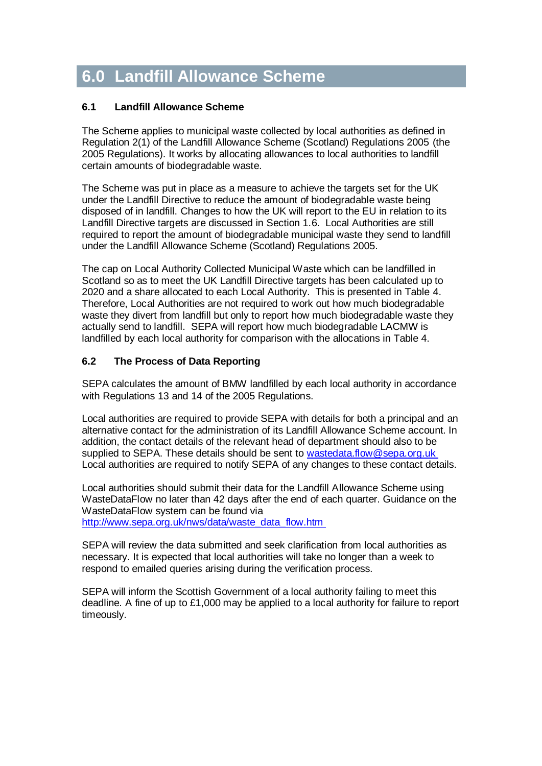# **6.0 Landfill Allowance Scheme**

#### **6.1 Landfill Allowance Scheme**

The Scheme applies to municipal waste collected by local authorities as defined in Regulation 2(1) of the Landfill Allowance Scheme (Scotland) Regulations 2005 (the 2005 Regulations). It works by allocating allowances to local authorities to landfill certain amounts of biodegradable waste.

The Scheme was put in place as a measure to achieve the targets set for the UK under the Landfill Directive to reduce the amount of biodegradable waste being disposed of in landfill. Changes to how the UK will report to the EU in relation to its Landfill Directive targets are discussed in Section 1.6. Local Authorities are still required to report the amount of biodegradable municipal waste they send to landfill under the Landfill Allowance Scheme (Scotland) Regulations 2005.

The cap on Local Authority Collected Municipal Waste which can be landfilled in Scotland so as to meet the UK Landfill Directive targets has been calculated up to 2020 and a share allocated to each Local Authority. This is presented in Table 4. Therefore, Local Authorities are not required to work out how much biodegradable waste they divert from landfill but only to report how much biodegradable waste they actually send to landfill. SEPA will report how much biodegradable LACMW is landfilled by each local authority for comparison with the allocations in Table 4.

#### **6.2 The Process of Data Reporting**

SEPA calculates the amount of BMW landfilled by each local authority in accordance with Regulations 13 and 14 of the 2005 Regulations.

Local authorities are required to provide SEPA with details for both a principal and an alternative contact for the administration of its Landfill Allowance Scheme account. In addition, the contact details of the relevant head of department should also to be supplied to SEPA. These details should be sent to [wastedata.flow@sepa.org.uk](mailto:wastedata.flow@sepa.org.uk) Local authorities are required to notify SEPA of any changes to these contact details.

Local authorities should submit their data for the Landfill Allowance Scheme using WasteDataFlow no later than 42 days after the end of each quarter. Guidance on the WasteDataFlow system can be found via http://www.sepa.org.uk/nws/data/waste\_data\_flow.htm

SEPA will review the data submitted and seek clarification from local authorities as necessary. It is expected that local authorities will take no longer than a week to respond to emailed queries arising during the verification process.

SEPA will inform the Scottish Government of a local authority failing to meet this deadline. A fine of up to £1,000 may be applied to a local authority for failure to report timeously.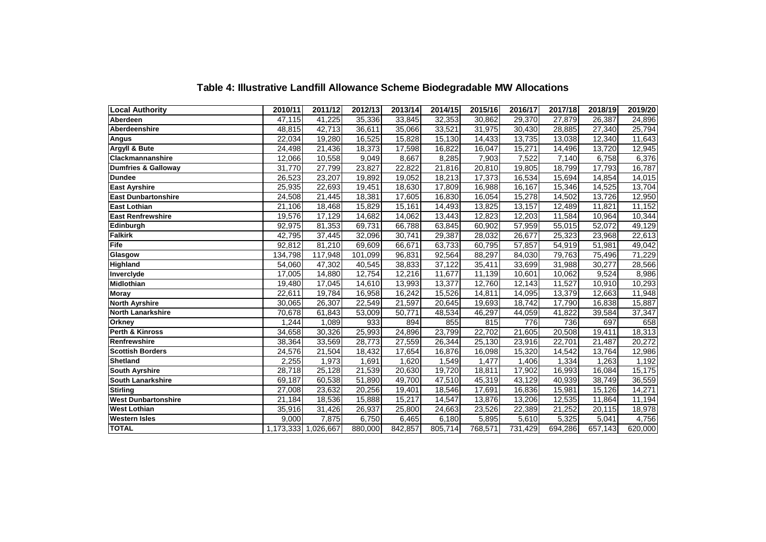| <b>Local Authority</b>         | 2010/11 | 2011/12             | 2012/13             | 2013/14 | 2014/15 | 2015/16 | 2016/17 | 2017/18 | 2018/19 | 2019/20             |
|--------------------------------|---------|---------------------|---------------------|---------|---------|---------|---------|---------|---------|---------------------|
| Aberdeen                       | 47,115  | 41,225              | 35,336              | 33,845  | 32,353  | 30,862  | 29,370  | 27,879  | 26,387  | 24,896              |
| Aberdeenshire                  | 48,815  | 42,713              | 36,611              | 35,066  | 33,521  | 31,975  | 30,430  | 28,885  | 27,340  | 25,794              |
| Angus                          | 22,034  | 19,280              | 16,525              | 15,828  | 15,130  | 14,433  | 13,735  | 13,038  | 12,340  | 11,643              |
| Argyll & Bute                  | 24,498  | 21,436              | 18,373              | 17,598  | 16,822  | 16,047  | 15,271  | 14,496  | 13,720  | 12,945              |
| <b>Clackmannanshire</b>        | 12,066  | 10,558              | 9,049               | 8,667   | 8,285   | 7,903   | 7,522   | 7,140   | 6,758   | 6,376               |
| <b>Dumfries &amp; Galloway</b> | 31,770  | 27,799              | 23,827              | 22,822  | 21,816  | 20,810  | 19,805  | 18,799  | 17,793  | 16,787              |
| <b>Dundee</b>                  | 26,523  | 23,207              | 19,892              | 19,052  | 18,213  | 17,373  | 16,534  | 15,694  | 14,854  | 14,015              |
| <b>East Ayrshire</b>           | 25,935  | 22,693              | 19,451              | 18,630  | 17,809  | 16,988  | 16,167  | 15,346  | 14,525  | 13,704              |
| <b>East Dunbartonshire</b>     | 24,508  | 21,445              | 18,381              | 17,605  | 16,830  | 16,054  | 15,278  | 14,502  | 13,726  | 12,950              |
| <b>East Lothian</b>            | 21,106  | 18,468              | 15,829              | 15,161  | 14,493  | 13,825  | 13,157  | 12,489  | 11,821  | 11,152              |
| <b>East Renfrewshire</b>       | 19,576  | 17,129              | 14,682              | 14,062  | 13,443  | 12,823  | 12,203  | 11,584  | 10,964  | 10,344              |
| Edinburgh                      | 92,975  | 81,353              | 69,731              | 66,788  | 63,845  | 60,902  | 57,959  | 55,015  | 52,072  | 49,129              |
| <b>Falkirk</b>                 | 42,795  | 37,445              | 32,096              | 30,741  | 29,387  | 28,032  | 26,677  | 25,323  | 23,968  | 22,613              |
| Fife                           | 92,812  | 81,210              | 69,609              | 66,671  | 63,733  | 60,795  | 57,857  | 54,919  | 51,981  | 49,042              |
| Glasgow                        | 134,798 | 117,948             | 101,099             | 96,831  | 92,564  | 88,297  | 84,030  | 79,763  | 75,496  | 71,229              |
| <b>Highland</b>                | 54,060  | 47,302              | 40,545              | 38,833  | 37,122  | 35,411  | 33,699  | 31,988  | 30,277  | 28,566              |
| Inverclyde                     | 17,005  | 14,880              | 12,754              | 12,216  | 11,677  | 11,139  | 10,601  | 10,062  | 9,524   | 8,986               |
| <b>Midlothian</b>              | 19,480  | 17,045              | 14,610              | 13,993  | 13,377  | 12,760  | 12,143  | 11,527  | 10,910  | $\overline{10,293}$ |
| <b>Moray</b>                   | 22,611  | 19,784              | 16,958              | 16,242  | 15,526  | 14,811  | 14,095  | 13,379  | 12,663  | 11,948              |
| <b>North Ayrshire</b>          | 30,065  | 26,307              | 22,549              | 21,597  | 20,645  | 19,693  | 18,742  | 17,790  | 16,838  | 15,887              |
| <b>North Lanarkshire</b>       | 70,678  | 61,843              | 53,009              | 50,771  | 48,534  | 46,297  | 44,059  | 41,822  | 39,584  | 37,347              |
| Orkney                         | 1,244   | 1,089               | 933                 | 894     | 855     | 815     | 776     | 736     | 697     | 658                 |
| Perth & Kinross                | 34,658  | 30,326              | 25,993              | 24,896  | 23,799  | 22,702  | 21,605  | 20,508  | 19,411  | 18,313              |
| Renfrewshire                   | 38,364  | 33,569              | 28,773              | 27,559  | 26,344  | 25,130  | 23,916  | 22,701  | 21,487  | 20,272              |
| <b>Scottish Borders</b>        | 24,576  | 21,504              | 18,432              | 17,654  | 16,876  | 16,098  | 15,320  | 14,542  | 13,764  | 12,986              |
| <b>Shetland</b>                | 2,255   | 1,973               | 1,691               | 1,620   | 1,549   | 1,477   | 1,406   | 1,334   | 1,263   | 1,192               |
| <b>South Ayrshire</b>          | 28,718  | 25,128              | $\overline{21,539}$ | 20,630  | 19,720  | 18,811  | 17,902  | 16,993  | 16,084  | 15,175              |
| <b>South Lanarkshire</b>       | 69,187  | 60,538              | 51,890              | 49,700  | 47,510  | 45,319  | 43,129  | 40,939  | 38,749  | 36,559              |
| <b>Stirling</b>                | 27,008  | 23,632              | 20,256              | 19,401  | 18,546  | 17,691  | 16,836  | 15,981  | 15,126  | 14,271              |
| <b>West Dunbartonshire</b>     | 21,184  | 18,536              | 15,888              | 15,217  | 14,547  | 13,876  | 13,206  | 12,535  | 11,864  | 11,194              |
| <b>West Lothian</b>            | 35,916  | 31,426              | 26,937              | 25,800  | 24,663  | 23,526  | 22,389  | 21,252  | 20,115  | 18,978              |
| <b>Western Isles</b>           | 9,000   | 7,875               | 6,750               | 6,465   | 6,180   | 5,895   | 5,610   | 5,325   | 5,041   | 4,756               |
| <b>TOTAL</b>                   |         | 1,173,333 1,026,667 | 880,000             | 842,857 | 805,714 | 768,571 | 731,429 | 694,286 | 657,143 | 620,000             |

#### **Table 4: Illustrative Landfill Allowance Scheme Biodegradable MW Allocations**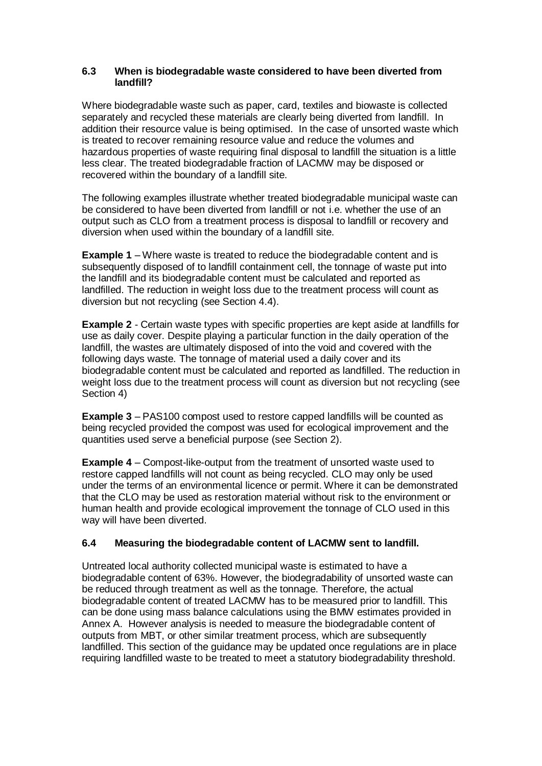#### **6.3 When is biodegradable waste considered to have been diverted from landfill?**

Where biodegradable waste such as paper, card, textiles and biowaste is collected separately and recycled these materials are clearly being diverted from landfill. In addition their resource value is being optimised. In the case of unsorted waste which is treated to recover remaining resource value and reduce the volumes and hazardous properties of waste requiring final disposal to landfill the situation is a little less clear. The treated biodegradable fraction of LACMW may be disposed or recovered within the boundary of a landfill site.

The following examples illustrate whether treated biodegradable municipal waste can be considered to have been diverted from landfill or not i.e. whether the use of an output such as CLO from a treatment process is disposal to landfill or recovery and diversion when used within the boundary of a landfill site.

**Example 1** – Where waste is treated to reduce the biodegradable content and is subsequently disposed of to landfill containment cell, the tonnage of waste put into the landfill and its biodegradable content must be calculated and reported as landfilled. The reduction in weight loss due to the treatment process will count as diversion but not recycling (see Section 4.4).

**Example 2** - Certain waste types with specific properties are kept aside at landfills for use as daily cover. Despite playing a particular function in the daily operation of the landfill, the wastes are ultimately disposed of into the void and covered with the following days waste. The tonnage of material used a daily cover and its biodegradable content must be calculated and reported as landfilled. The reduction in weight loss due to the treatment process will count as diversion but not recycling (see Section 4)

**Example 3** – PAS100 compost used to restore capped landfills will be counted as being recycled provided the compost was used for ecological improvement and the quantities used serve a beneficial purpose (see Section 2).

**Example 4** – Compost-like-output from the treatment of unsorted waste used to restore capped landfills will not count as being recycled. CLO may only be used under the terms of an environmental licence or permit. Where it can be demonstrated that the CLO may be used as restoration material without risk to the environment or human health and provide ecological improvement the tonnage of CLO used in this way will have been diverted.

#### **6.4 Measuring the biodegradable content of LACMW sent to landfill.**

Untreated local authority collected municipal waste is estimated to have a biodegradable content of 63%. However, the biodegradability of unsorted waste can be reduced through treatment as well as the tonnage. Therefore, the actual biodegradable content of treated LACMW has to be measured prior to landfill. This can be done using mass balance calculations using the BMW estimates provided in Annex A. However analysis is needed to measure the biodegradable content of outputs from MBT, or other similar treatment process, which are subsequently landfilled. This section of the guidance may be updated once regulations are in place requiring landfilled waste to be treated to meet a statutory biodegradability threshold.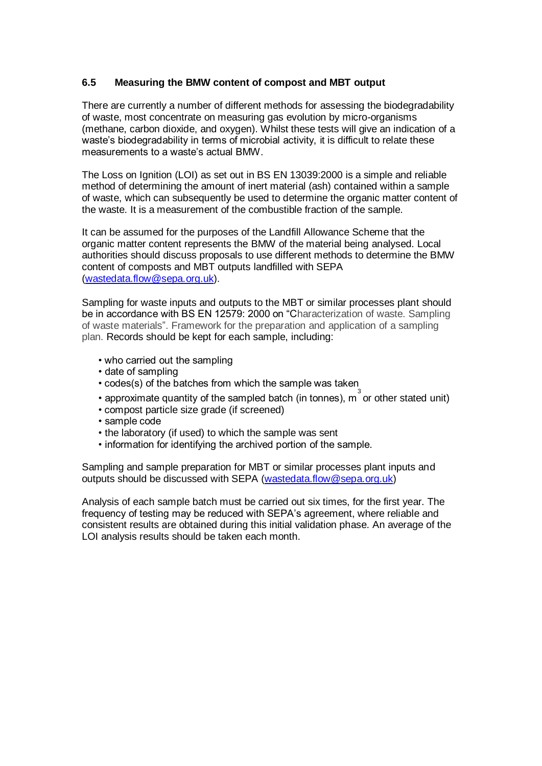#### **6.5 Measuring the BMW content of compost and MBT output**

There are currently a number of different methods for assessing the biodegradability of waste, most concentrate on measuring gas evolution by micro-organisms (methane, carbon dioxide, and oxygen). Whilst these tests will give an indication of a waste's biodegradability in terms of microbial activity, it is difficult to relate these measurements to a waste"s actual BMW.

The Loss on Ignition (LOI) as set out in BS EN 13039:2000 is a simple and reliable method of determining the amount of inert material (ash) contained within a sample of waste, which can subsequently be used to determine the organic matter content of the waste. It is a measurement of the combustible fraction of the sample.

It can be assumed for the purposes of the Landfill Allowance Scheme that the organic matter content represents the BMW of the material being analysed. Local authorities should discuss proposals to use different methods to determine the BMW content of composts and MBT outputs landfilled with SEPA [\(wastedata.flow@sepa.org.uk\)](mailto:wastedata.flow@sepa.org.uk).

Sampling for waste inputs and outputs to the MBT or similar processes plant should be in accordance with BS EN 12579: 2000 on "Characterization of waste. Sampling of waste materials". Framework for the preparation and application of a sampling plan. Records should be kept for each sample, including:

- who carried out the sampling
- date of sampling
- codes(s) of the batches from which the sample was taken
- approximate quantity of the sampled batch (in tonnes),  $m^3$  or other stated unit)
- compost particle size grade (if screened)
- sample code
- the laboratory (if used) to which the sample was sent
- information for identifying the archived portion of the sample.

Sampling and sample preparation for MBT or similar processes plant inputs and outputs should be discussed with SEPA [\(wastedata.flow@sepa.org.uk\)](mailto:wastedata.flow@sepa.org.uk)

Analysis of each sample batch must be carried out six times, for the first year. The frequency of testing may be reduced with SEPA"s agreement, where reliable and consistent results are obtained during this initial validation phase. An average of the LOI analysis results should be taken each month.